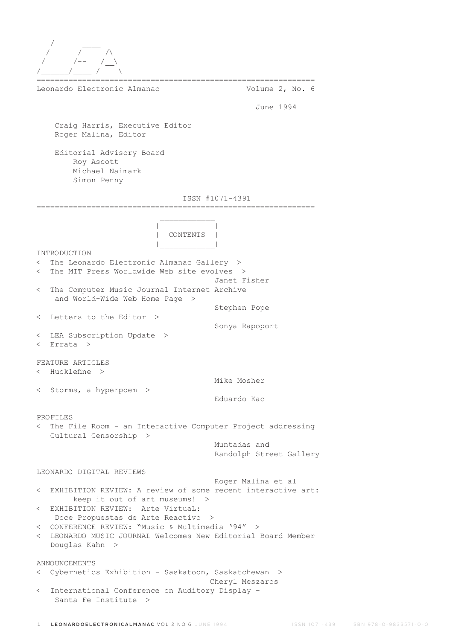| Leonardo Electronic Almanac                                                                                                                                                           | Volume 2, No. 6                         |
|---------------------------------------------------------------------------------------------------------------------------------------------------------------------------------------|-----------------------------------------|
|                                                                                                                                                                                       | June 1994                               |
| Craig Harris, Executive Editor<br>Roger Malina, Editor                                                                                                                                |                                         |
| Editorial Advisory Board<br>Roy Ascott<br>Michael Naimark<br>Simon Penny                                                                                                              |                                         |
|                                                                                                                                                                                       | ISSN #1071-4391                         |
| CONTENTS                                                                                                                                                                              |                                         |
|                                                                                                                                                                                       |                                         |
| INTRODUCTION<br>The Leonardo Electronic Almanac Gallery ><br>$\,<\,$<br>The MIT Press Worldwide Web site evolves ><br>$\lt$                                                           | Janet Fisher                            |
| The Computer Music Journal Internet Archive<br>$\lt$<br>and World-Wide Web Home Page<br>- >                                                                                           |                                         |
| < Letters to the Editor >                                                                                                                                                             | Stephen Pope                            |
| LEA Subscription Update ><br>$\lt$<br>Errata ><br>$\lt$                                                                                                                               | Sonya Rapoport                          |
| FEATURE ARTICLES                                                                                                                                                                      |                                         |
| < Hucklefine >                                                                                                                                                                        | Mike Mosher                             |
| < Storms, a hyperpoem >                                                                                                                                                               | Eduardo Kac                             |
| PROFILES                                                                                                                                                                              |                                         |
| The File Room - an Interactive Computer Project addressing<br>$\lt$<br>Cultural Censorship >                                                                                          |                                         |
|                                                                                                                                                                                       | Muntadas and<br>Randolph Street Gallery |
| LEONARDO DIGITAL REVIEWS                                                                                                                                                              |                                         |
| EXHIBITION REVIEW: A review of some recent interactive art:<br>$\lt$<br>keep it out of art museums! >                                                                                 | Roger Malina et al                      |
| EXHIBITION REVIEW: Arte Virtual:<br>$\lt$                                                                                                                                             |                                         |
| Doce Propuestas de Arte Reactivo ><br>CONFERENCE REVIEW: "Music & Multimedia '94" ><br>$\lt$<br>LEONARDO MUSIC JOURNAL Welcomes New Editorial Board Member<br>$\lt$<br>Douglas Kahn > |                                         |
| ANNOUNCEMENTS<br>Cybernetics Exhibition - Saskatoon, Saskatchewan ><br>$\lt$                                                                                                          |                                         |
| International Conference on Auditory Display -<br>$\lt$<br>Santa Fe Institute >                                                                                                       | Cheryl Meszaros                         |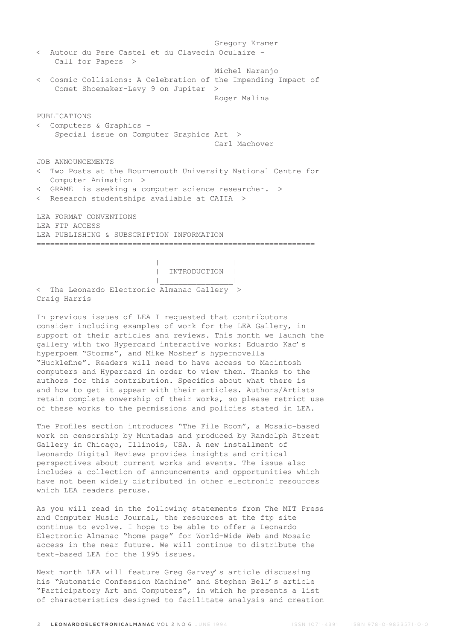Gregory Kramer < Autour du Pere Castel et du Clavecin Oculaire - Call for Papers > Michel Naranjo < Cosmic Collisions: A Celebration of the Impending Impact of Comet Shoemaker-Levy 9 on Jupiter > Roger Malina PUBLICATIONS < Computers & Graphics - Special issue on Computer Graphics Art > Carl Machover JOB ANNOUNCEMENTS < Two Posts at the Bournemouth University National Centre for Computer Animation > < GRAME is seeking a computer science researcher. > < Research studentships available at CAIIA > LEA FORMAT CONVENTIONS LEA FTP ACCESS LEA PUBLISHING & SUBSCRIPTION INFORMATION =============================================================  $\mathcal{L}_\text{max}$  and  $\mathcal{L}_\text{max}$  are the set of  $\mathcal{L}_\text{max}$  . The set of  $\mathcal{L}_\text{max}$ 

 | | | INTRODUCTION | |\_\_\_\_\_\_\_\_\_\_\_\_\_\_\_\_|

< The Leonardo Electronic Almanac Gallery > Craig Harris

In previous issues of LEA I requested that contributors consider including examples of work for the LEA Gallery, in support of their articles and reviews. This month we launch the gallery with two Hypercard interactive works: Eduardo Kac's hyperpoem "Storms", and Mike Mosher's hypernovella "Hucklefine". Readers will need to have access to Macintosh computers and Hypercard in order to view them. Thanks to the authors for this contribution. Specifics about what there is and how to get it appear with their articles. Authors/Artists retain complete onwership of their works, so please retrict use of these works to the permissions and policies stated in LEA.

The Profiles section introduces "The File Room", a Mosaic-based work on censorship by Muntadas and produced by Randolph Street Gallery in Chicago, Illinois, USA. A new installment of Leonardo Digital Reviews provides insights and critical perspectives about current works and events. The issue also includes a collection of announcements and opportunities which have not been widely distributed in other electronic resources which LEA readers peruse.

As you will read in the following statements from The MIT Press and Computer Music Journal, the resources at the ftp site continue to evolve. I hope to be able to offer a Leonardo Electronic Almanac "home page" for World-Wide Web and Mosaic access in the near future. We will continue to distribute the text-based LEA for the 1995 issues.

Next month LEA will feature Greg Garvey's article discussing his "Automatic Confession Machine" and Stephen Bell's article "Participatory Art and Computers", in which he presents a list of characteristics designed to facilitate analysis and creation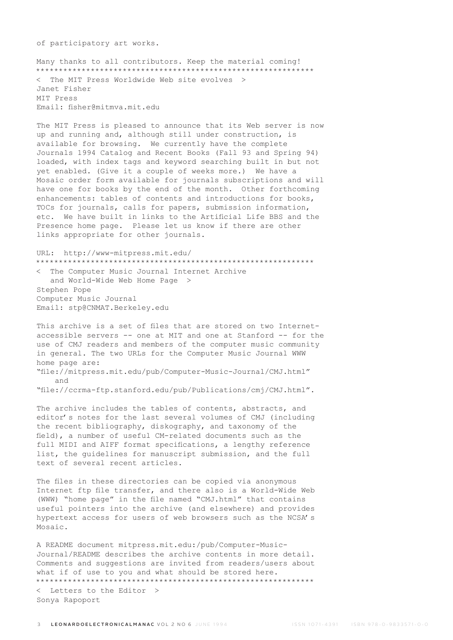of participatory art works.

Many thanks to all contributors. Keep the material coming! \*\*\*\*\*\*\*\*\*\*\*\*\*\*\*\*\*\*\*\*\*\*\*\*\*\*\*\*\*\*\*\*\*\*\*\*\*\*\*\*\*\*\*\*\*\*\*\*\*\*\*\*\*\*\*\*\*\*\*\*\* < The MIT Press Worldwide Web site evolves > Janet Fisher MIT Press Email: fisher@mitmva.mit.edu

The MIT Press is pleased to announce that its Web server is now up and running and, although still under construction, is available for browsing. We currently have the complete Journals 1994 Catalog and Recent Books (Fall 93 and Spring 94) loaded, with index tags and keyword searching built in but not yet enabled. (Give it a couple of weeks more.) We have a Mosaic order form available for journals subscriptions and will have one for books by the end of the month. Other forthcoming enhancements: tables of contents and introductions for books, TOCs for journals, calls for papers, submission information, etc. We have built in links to the Artificial Life BBS and the Presence home page. Please let us know if there are other links appropriate for other journals.

URL: http://www-mitpress.mit.edu/ \*\*\*\*\*\*\*\*\*\*\*\*\*\*\*\*\*\*\*\*\*\*\*\*\*\*\*\*\*\*\*\*\*\*\*\*\*\*\*\*\*\*\*\*\*\*\*\*\*\*\*\*\*\*\*\*\*\*\*\*\*

< The Computer Music Journal Internet Archive and World-Wide Web Home Page > Stephen Pope Computer Music Journal Email: stp@CNMAT.Berkeley.edu

This archive is a set of files that are stored on two Internetaccessible servers -- one at MIT and one at Stanford -- for the use of CMJ readers and members of the computer music community in general. The two URLs for the Computer Music Journal WWW home page are: "file://mitpress.mit.edu/pub/Computer-Music-Journal/CMJ.html"

 and "file://ccrma-ftp.stanford.edu/pub/Publications/cmj/CMJ.html".

The archive includes the tables of contents, abstracts, and editor's notes for the last several volumes of CMJ (including the recent bibliography, diskography, and taxonomy of the field), a number of useful CM-related documents such as the full MIDI and AIFF format specifications, a lengthy reference list, the guidelines for manuscript submission, and the full text of several recent articles.

The files in these directories can be copied via anonymous Internet ftp file transfer, and there also is a World-Wide Web (WWW) "home page" in the file named "CMJ.html" that contains useful pointers into the archive (and elsewhere) and provides hypertext access for users of web browsers such as the NCSA's Mosaic.

A README document mitpress.mit.edu:/pub/Computer-Music-Journal/README describes the archive contents in more detail. Comments and suggestions are invited from readers/users about what if of use to you and what should be stored here. \*\*\*\*\*\*\*\*\*\*\*\*\*\*\*\*\*\*\*\*\*\*\*\*\*\*\*\*\*\*\*\*\*\*\*\*\*\*\*\*\*\*\*\*\*\*\*\*\*\*\*\*\*\*\*\*\*\*\*\*\*

< Letters to the Editor > Sonya Rapoport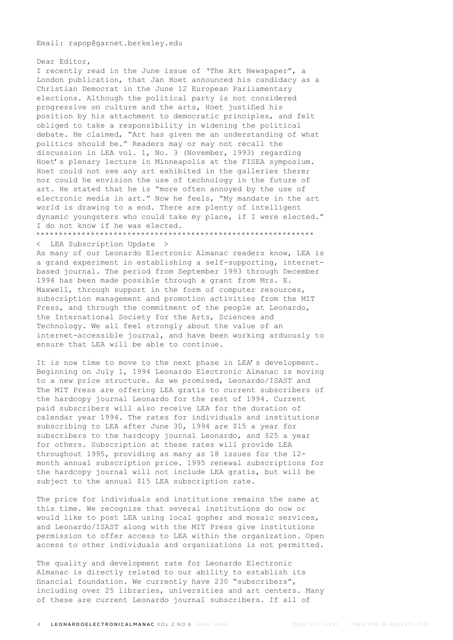Email: rapop@garnet.berkeley.edu

Dear Editor, I recently read in the June issue of 'The Art Newspaper", a London publication, that Jan Hoet announced his candidacy as a Christian Democrat in the June 12 European Parliamentary elections. Although the political party is not considered progressive on culture and the arts, Hoet justified his position by his attachment to democratic principles, and felt obliged to take a responsibility in widening the political debate. He claimed, "Art has given me an understanding of what politics should be." Readers may or may not recall the discussion in LEA vol. 1, No. 3 (November, 1993) regarding Hoet's plenary lecture in Minneapolis at the FISEA symposium. Hoet could not see any art exhibited in the galleries there; nor could he envision the use of technology in the future of art. He stated that he is "more often annoyed by the use of electronic media in art." Now he feels, "My mandate in the art world is drawing to a end. There are plenty of intelligent dynamic youngsters who could take my place, if I were elected." I do not know if he was elected.

\*\*\*\*\*\*\*\*\*\*\*\*\*\*\*\*\*\*\*\*\*\*\*\*\*\*\*\*\*\*\*\*\*\*\*\*\*\*\*\*\*\*\*\*\*\*\*\*\*\*\*\*\*\*\*\*\*\*\*\*\*

< LEA Subscription Update >

As many of our Leonardo Electronic Almanac readers know, LEA is a grand experiment in establishing a self-supporting, internetbased journal. The period from September 1993 through December 1994 has been made possible through a grant from Mrs. E. Maxwell, through support in the form of computer resources, subscription management and promotion activities from the MIT Press, and through the commitment of the people at Leonardo, the International Society for the Arts, Sciences and Technology. We all feel strongly about the value of an internet-accessible journal, and have been working arduously to ensure that LEA will be able to continue.

It is now time to move to the next phase in LEA's development. Beginning on July 1, 1994 Leonardo Electronic Almanac is moving to a new price structure. As we promised, Leonardo/ISAST and The MIT Press are offering LEA gratis to current subscribers of the hardcopy journal Leonardo for the rest of 1994. Current paid subscribers will also receive LEA for the duration of calendar year 1994. The rates for individuals and institutions subscribing to LEA after June 30, 1994 are \$15 a year for subscribers to the hardcopy journal Leonardo, and \$25 a year for others. Subscription at these rates will provide LEA throughout 1995, providing as many as 18 issues for the 12 month annual subscription price. 1995 renewal subscriptions for the hardcopy journal will not include LEA gratis, but will be subject to the annual \$15 LEA subscription rate.

The price for individuals and institutions remains the same at this time. We recognize that several institutions do now or would like to post LEA using local gopher and mosaic services, and Leonardo/ISAST along with the MIT Press give institutions permission to offer access to LEA within the organization. Open access to other individuals and organizations is not permitted.

The quality and development rate for Leonardo Electronic Almanac is directly related to our ability to establish its financial foundation. We currently have 230 "subscribers", including over 25 libraries, universities and art centers. Many of these are current Leonardo journal subscribers. If all of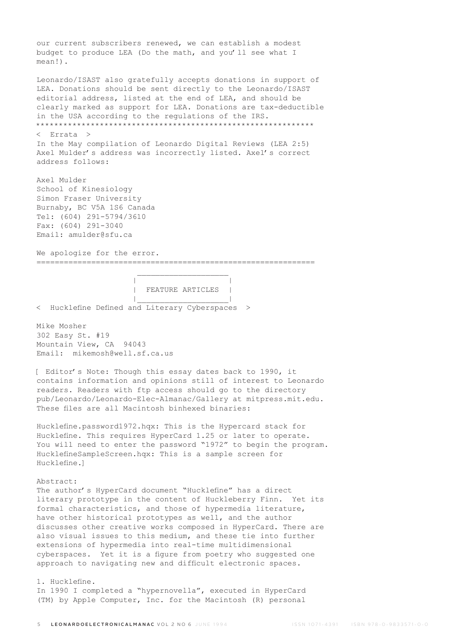our current subscribers renewed, we can establish a modest budget to produce LEA (Do the math, and you'll see what I mean!).

Leonardo/ISAST also gratefully accepts donations in support of LEA. Donations should be sent directly to the Leonardo/ISAST editorial address, listed at the end of LEA, and should be clearly marked as support for LEA. Donations are tax-deductible in the USA according to the regulations of the IRS. \*\*\*\*\*\*\*\*\*\*\*\*\*\*\*\*\*\*\*\*\*\*\*\*\*\*\*\*\*\*\*\*\*\*\*\*\*\*\*\*\*\*\*\*\*\*\*\*\*\*\*\*\*\*\*\*\*\*\*\*\* < Errata > In the May compilation of Leonardo Digital Reviews (LEA 2:5) Axel Mulder's address was incorrectly listed. Axel's correct address follows:

Axel Mulder School of Kinesiology Simon Fraser University Burnaby, BC V5A 1S6 Canada Tel: (604) 291-5794/3610 Fax: (604) 291-3040 Email: amulder@sfu.ca

We apologize for the error.

=============================================================

 | | | FEATURE ARTICLES | |\_\_\_\_\_\_\_\_\_\_\_\_\_\_\_\_\_\_\_\_|

< Hucklefine Defined and Literary Cyberspaces >

 $\mathcal{L}_\text{max}$  and  $\mathcal{L}_\text{max}$  are the set of  $\mathcal{L}_\text{max}$  . The set of  $\mathcal{L}_\text{max}$ 

Mike Mosher 302 Easy St. #19 Mountain View, CA 94043 Email: mikemosh@well.sf.ca.us

[ Editor's Note: Though this essay dates back to 1990, it contains information and opinions still of interest to Leonardo readers. Readers with ftp access should go to the directory pub/Leonardo/Leonardo-Elec-Almanac/Gallery at mitpress.mit.edu. These files are all Macintosh binhexed binaries:

Hucklefine.password1972.hqx: This is the Hypercard stack for Hucklefine. This requires HyperCard 1.25 or later to operate. You will need to enter the password "1972" to begin the program. HucklefineSampleScreen.hqx: This is a sample screen for Hucklefine.]

### Abstract:

The author's HyperCard document "Hucklefine" has a direct literary prototype in the content of Huckleberry Finn. Yet its formal characteristics, and those of hypermedia literature, have other historical prototypes as well, and the author discusses other creative works composed in HyperCard. There are also visual issues to this medium, and these tie into further extensions of hypermedia into real-time multidimensional cyberspaces. Yet it is a figure from poetry who suggested one approach to navigating new and difficult electronic spaces.

### 1. Hucklefine.

In 1990 I completed a "hypernovella", executed in HyperCard (TM) by Apple Computer, Inc. for the Macintosh (R) personal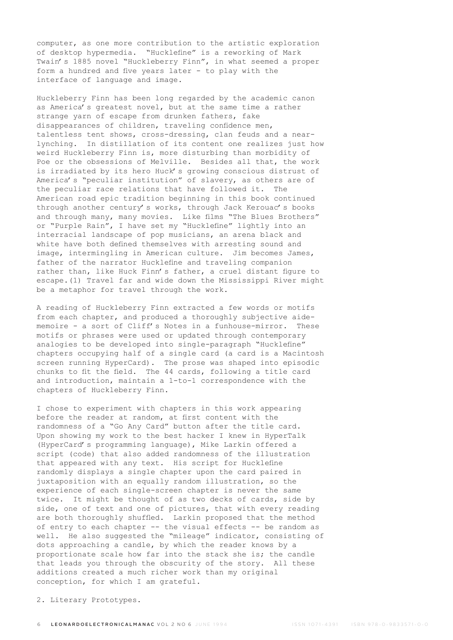computer, as one more contribution to the artistic exploration of desktop hypermedia. "Hucklefine" is a reworking of Mark Twain's 1885 novel "Huckleberry Finn", in what seemed a proper form a hundred and five years later - to play with the interface of language and image.

Huckleberry Finn has been long regarded by the academic canon as America's greatest novel, but at the same time a rather strange yarn of escape from drunken fathers, fake disappearances of children, traveling confidence men, talentless tent shows, cross-dressing, clan feuds and a nearlynching. In distillation of its content one realizes just how weird Huckleberry Finn is, more disturbing than morbidity of Poe or the obsessions of Melville. Besides all that, the work is irradiated by its hero Huck's growing conscious distrust of America's "peculiar institution" of slavery, as others are of the peculiar race relations that have followed it. The American road epic tradition beginning in this book continued through another century's works, through Jack Kerouac's books and through many, many movies. Like films "The Blues Brothers" or "Purple Rain", I have set my "Hucklefine" lightly into an interracial landscape of pop musicians, an arena black and white have both defined themselves with arresting sound and image, intermingling in American culture. Jim becomes James, father of the narrator Hucklefine and traveling companion rather than, like Huck Finn's father, a cruel distant figure to escape.(1) Travel far and wide down the Mississippi River might be a metaphor for travel through the work.

A reading of Huckleberry Finn extracted a few words or motifs from each chapter, and produced a thoroughly subjective aidememoire - a sort of Cliff's Notes in a funhouse-mirror. These motifs or phrases were used or updated through contemporary analogies to be developed into single-paragraph "Hucklefine" chapters occupying half of a single card (a card is a Macintosh screen running HyperCard). The prose was shaped into episodic chunks to fit the field. The 44 cards, following a title card and introduction, maintain a 1-to-1 correspondence with the chapters of Huckleberry Finn.

I chose to experiment with chapters in this work appearing before the reader at random, at first content with the randomness of a "Go Any Card" button after the title card. Upon showing my work to the best hacker I knew in HyperTalk (HyperCard's programming language), Mike Larkin offered a script (code) that also added randomness of the illustration that appeared with any text. His script for Hucklefine randomly displays a single chapter upon the card paired in juxtaposition with an equally random illustration, so the experience of each single-screen chapter is never the same twice. It might be thought of as two decks of cards, side by side, one of text and one of pictures, that with every reading are both thoroughly shuffled. Larkin proposed that the method of entry to each chapter -- the visual effects -- be random as well. He also suggested the "mileage" indicator, consisting of dots approaching a candle, by which the reader knows by a proportionate scale how far into the stack she is; the candle that leads you through the obscurity of the story. All these additions created a much richer work than my original conception, for which I am grateful.

2. Literary Prototypes.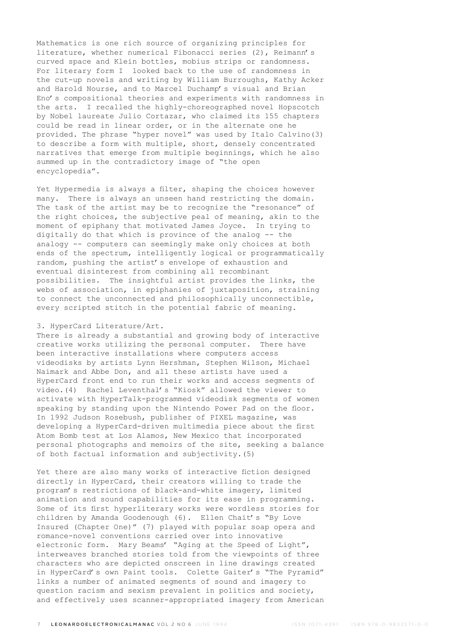Mathematics is one rich source of organizing principles for literature, whether numerical Fibonacci series (2), Reimann's curved space and Klein bottles, mobius strips or randomness. For literary form I looked back to the use of randomness in the cut-up novels and writing by William Burroughs, Kathy Acker and Harold Nourse, and to Marcel Duchamp's visual and Brian Eno's compositional theories and experiments with randomness in the arts. I recalled the highly-choreographed novel Hopscotch by Nobel laureate Julio Cortazar, who claimed its 155 chapters could be read in linear order, or in the alternate one he provided. The phrase "hyper novel" was used by Italo Calvino(3) to describe a form with multiple, short, densely concentrated narratives that emerge from multiple beginnings, which he also summed up in the contradictory image of "the open encyclopedia".

Yet Hypermedia is always a filter, shaping the choices however many. There is always an unseen hand restricting the domain. The task of the artist may be to recognize the "resonance" of the right choices, the subjective peal of meaning, akin to the moment of epiphany that motivated James Joyce. In trying to digitally do that which is province of the analog -- the analogy -- computers can seemingly make only choices at both ends of the spectrum, intelligently logical or programmatically random, pushing the artist's envelope of exhaustion and eventual disinterest from combining all recombinant possibilities. The insightful artist provides the links, the webs of association, in epiphanies of juxtaposition, straining to connect the unconnected and philosophically unconnectible, every scripted stitch in the potential fabric of meaning.

### 3. HyperCard Literature/Art.

There is already a substantial and growing body of interactive creative works utilizing the personal computer. There have been interactive installations where computers access videodisks by artists Lynn Hershman, Stephen Wilson, Michael Naimark and Abbe Don, and all these artists have used a HyperCard front end to run their works and access segments of video.(4) Rachel Leventhal's "Kiosk" allowed the viewer to activate with HyperTalk-programmed videodisk segments of women speaking by standing upon the Nintendo Power Pad on the floor. In 1992 Judson Rosebush, publisher of PIXEL magazine, was developing a HyperCard-driven multimedia piece about the first Atom Bomb test at Los Alamos, New Mexico that incorporated personal photographs and memoirs of the site, seeking a balance of both factual information and subjectivity.(5)

Yet there are also many works of interactive fiction designed directly in HyperCard, their creators willing to trade the program's restrictions of black-and-white imagery, limited animation and sound capabilities for its ease in programming. Some of its first hyperliterary works were wordless stories for children by Amanda Goodenough (6). Ellen Chait's "By Love Insured (Chapter One)" (7) played with popular soap opera and romance-novel conventions carried over into innovative electronic form. Mary Beams' "Aging at the Speed of Light", interweaves branched stories told from the viewpoints of three characters who are depicted onscreen in line drawings created in HyperCard's own Paint tools. Colette Gaiter's "The Pyramid" links a number of animated segments of sound and imagery to question racism and sexism prevalent in politics and society, and effectively uses scanner-appropriated imagery from American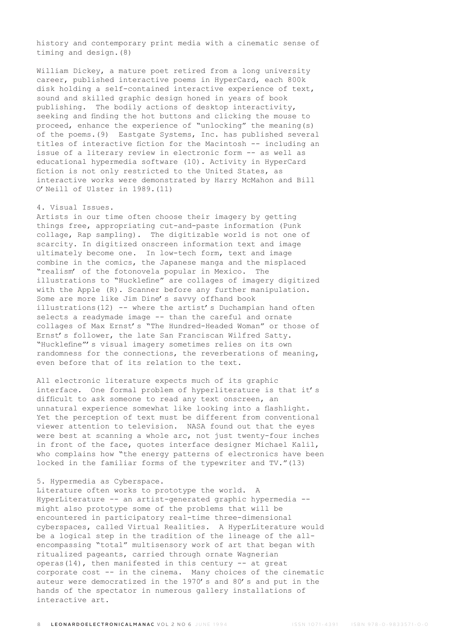history and contemporary print media with a cinematic sense of timing and design.(8)

William Dickey, a mature poet retired from a long university career, published interactive poems in HyperCard, each 800k disk holding a self-contained interactive experience of text, sound and skilled graphic design honed in years of book publishing. The bodily actions of desktop interactivity, seeking and finding the hot buttons and clicking the mouse to proceed, enhance the experience of "unlocking" the meaning(s) of the poems.(9) Eastgate Systems, Inc. has published several titles of interactive fiction for the Macintosh -- including an issue of a literary review in electronic form -- as well as educational hypermedia software (10). Activity in HyperCard fiction is not only restricted to the United States, as interactive works were demonstrated by Harry McMahon and Bill O'Neill of Ulster in 1989.(11)

### 4. Visual Issues.

Artists in our time often choose their imagery by getting things free, appropriating cut-and-paste information (Punk collage, Rap sampling). The digitizable world is not one of scarcity. In digitized onscreen information text and image ultimately become one. In low-tech form, text and image combine in the comics, the Japanese manga and the misplaced "realism' of the fotonovela popular in Mexico. The illustrations to "Hucklefine" are collages of imagery digitized with the Apple (R). Scanner before any further manipulation. Some are more like Jim Dine's savvy offhand book illustrations(12) -- where the artist's Duchampian hand often selects a readymade image -- than the careful and ornate collages of Max Ernst's "The Hundred-Headed Woman" or those of Ernst's follower, the late San Franciscan Wilfred Satty. "Hucklefine"'s visual imagery sometimes relies on its own randomness for the connections, the reverberations of meaning, even before that of its relation to the text.

All electronic literature expects much of its graphic interface. One formal problem of hyperliterature is that it's difficult to ask someone to read any text onscreen, an unnatural experience somewhat like looking into a flashlight. Yet the perception of text must be different from conventional viewer attention to television. NASA found out that the eyes were best at scanning a whole arc, not just twenty-four inches in front of the face, quotes interface designer Michael Kalil, who complains how "the energy patterns of electronics have been locked in the familiar forms of the typewriter and TV."(13)

# 5. Hypermedia as Cyberspace.

Literature often works to prototype the world. A HyperLiterature -- an artist-generated graphic hypermedia - might also prototype some of the problems that will be encountered in participatory real-time three-dimensional cyberspaces, called Virtual Realities. A HyperLiterature would be a logical step in the tradition of the lineage of the allencompassing "total" multisensory work of art that began with ritualized pageants, carried through ornate Wagnerian operas(14), then manifested in this century  $-$  at great corporate cost -- in the cinema. Many choices of the cinematic auteur were democratized in the 1970's and 80's and put in the hands of the spectator in numerous gallery installations of interactive art.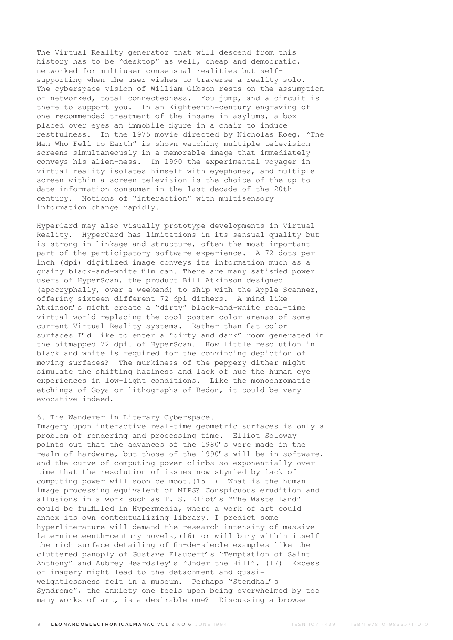The Virtual Reality generator that will descend from this history has to be "desktop" as well, cheap and democratic, networked for multiuser consensual realities but selfsupporting when the user wishes to traverse a reality solo. The cyberspace vision of William Gibson rests on the assumption of networked, total connectedness. You jump, and a circuit is there to support you. In an Eighteenth-century engraving of one recommended treatment of the insane in asylums, a box placed over eyes an immobile figure in a chair to induce restfulness. In the 1975 movie directed by Nicholas Roeg, "The Man Who Fell to Earth" is shown watching multiple television screens simultaneously in a memorable image that immediately conveys his alien-ness. In 1990 the experimental voyager in virtual reality isolates himself with eyephones, and multiple screen-within-a-screen television is the choice of the up-todate information consumer in the last decade of the 20th century. Notions of "interaction" with multisensory information change rapidly.

HyperCard may also visually prototype developments in Virtual Reality. HyperCard has limitations in its sensual quality but is strong in linkage and structure, often the most important part of the participatory software experience. A 72 dots-perinch (dpi) digitized image conveys its information much as a grainy black-and-white film can. There are many satisfied power users of HyperScan, the product Bill Atkinson designed (apocryphally, over a weekend) to ship with the Apple Scanner, offering sixteen different 72 dpi dithers. A mind like Atkinson's might create a "dirty" black-and-white real-time virtual world replacing the cool poster-color arenas of some current Virtual Reality systems. Rather than flat color surfaces I'd like to enter a "dirty and dark" room generated in the bitmapped 72 dpi. of HyperScan. How little resolution in black and white is required for the convincing depiction of moving surfaces? The murkiness of the peppery dither might simulate the shifting haziness and lack of hue the human eye experiences in low-light conditions. Like the monochromatic etchings of Goya or lithographs of Redon, it could be very evocative indeed.

### 6. The Wanderer in Literary Cyberspace.

Imagery upon interactive real-time geometric surfaces is only a problem of rendering and processing time. Elliot Soloway points out that the advances of the 1980's were made in the realm of hardware, but those of the 1990's will be in software, and the curve of computing power climbs so exponentially over time that the resolution of issues now stymied by lack of computing power will soon be moot.(15 ) What is the human image processing equivalent of MIPS? Conspicuous erudition and allusions in a work such as T. S. Eliot's "The Waste Land" could be fulfilled in Hypermedia, where a work of art could annex its own contextualizing library. I predict some hyperliterature will demand the research intensity of massive late-nineteenth-century novels,(16) or will bury within itself the rich surface detailing of fin-de-siecle examples like the cluttered panoply of Gustave Flaubert's "Temptation of Saint Anthony" and Aubrey Beardsley's "Under the Hill". (17) Excess of imagery might lead to the detachment and quasiweightlessness felt in a museum. Perhaps "Stendhal's Syndrome", the anxiety one feels upon being overwhelmed by too many works of art, is a desirable one? Discussing a browse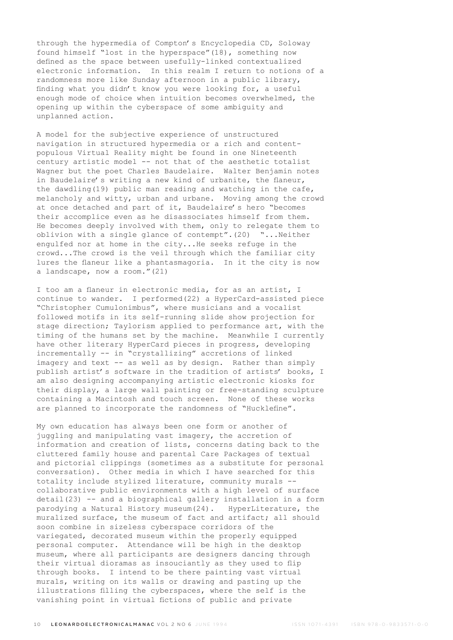through the hypermedia of Compton's Encyclopedia CD, Soloway found himself "lost in the hyperspace"(18), something now defined as the space between usefully-linked contextualized electronic information. In this realm I return to notions of a randomness more like Sunday afternoon in a public library, finding what you didn't know you were looking for, a useful enough mode of choice when intuition becomes overwhelmed, the opening up within the cyberspace of some ambiguity and unplanned action.

A model for the subjective experience of unstructured navigation in structured hypermedia or a rich and contentpopulous Virtual Reality might be found in one Nineteenth century artistic model -- not that of the aesthetic totalist Wagner but the poet Charles Baudelaire. Walter Benjamin notes in Baudelaire's writing a new kind of urbanite, the flaneur, the dawdling(19) public man reading and watching in the cafe, melancholy and witty, urban and urbane. Moving among the crowd at once detached and part of it, Baudelaire's hero "becomes their accomplice even as he disassociates himself from them. He becomes deeply involved with them, only to relegate them to oblivion with a single glance of contempt".(20) "...Neither engulfed nor at home in the city...He seeks refuge in the crowd...The crowd is the veil through which the familiar city lures the flaneur like a phantasmagoria. In it the city is now a landscape, now a room."(21)

I too am a flaneur in electronic media, for as an artist, I continue to wander. I performed(22) a HyperCard-assisted piece "Christopher Cumulonimbus", where musicians and a vocalist followed motifs in its self-running slide show projection for stage direction; Taylorism applied to performance art, with the timing of the humans set by the machine. Meanwhile I currently have other literary HyperCard pieces in progress, developing incrementally -- in "crystallizing" accretions of linked imagery and text -- as well as by design. Rather than simply publish artist's software in the tradition of artists' books, I am also designing accompanying artistic electronic kiosks for their display, a large wall painting or free-standing sculpture containing a Macintosh and touch screen. None of these works are planned to incorporate the randomness of "Hucklefine".

My own education has always been one form or another of juggling and manipulating vast imagery, the accretion of information and creation of lists, concerns dating back to the cluttered family house and parental Care Packages of textual and pictorial clippings (sometimes as a substitute for personal conversation). Other media in which I have searched for this totality include stylized literature, community murals - collaborative public environments with a high level of surface detail(23) -- and a biographical gallery installation in a form parodying a Natural History museum(24). HyperLiterature, the muralized surface, the museum of fact and artifact; all should soon combine in sizeless cyberspace corridors of the variegated, decorated museum within the properly equipped personal computer. Attendance will be high in the desktop museum, where all participants are designers dancing through their virtual dioramas as insouciantly as they used to flip through books. I intend to be there painting vast virtual murals, writing on its walls or drawing and pasting up the illustrations filling the cyberspaces, where the self is the vanishing point in virtual fictions of public and private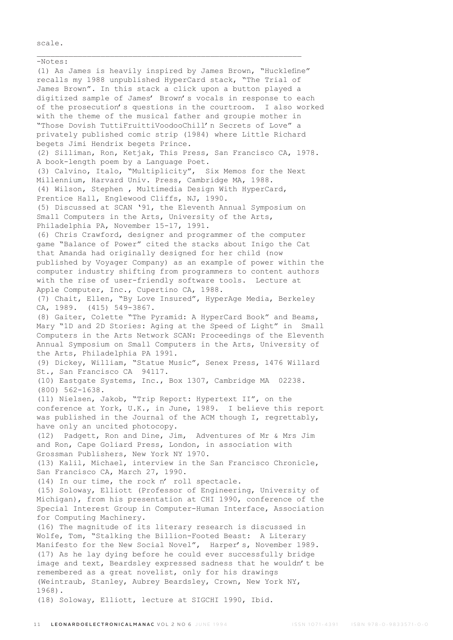scale.

-Notes: (1) As James is heavily inspired by James Brown, "Hucklefine" recalls my 1988 unpublished HyperCard stack, "The Trial of James Brown". In this stack a click upon a button played a digitized sample of James' Brown's vocals in response to each of the prosecution's questions in the courtroom. I also worked with the theme of the musical father and groupie mother in "Those Dovish TuttiFruittiVoodooChill'n Secrets of Love" a privately published comic strip (1984) where Little Richard begets Jimi Hendrix begets Prince. (2) Silliman, Ron, Ketjak, This Press, San Francisco CA, 1978. A book-length poem by a Language Poet. (3) Calvino, Italo, "Multiplicity", Six Memos for the Next Millennium, Harvard Univ. Press, Cambridge MA, 1988. (4) Wilson, Stephen , Multimedia Design With HyperCard, Prentice Hall, Englewood Cliffs, NJ, 1990. (5) Discussed at SCAN '91, the Eleventh Annual Symposium on Small Computers in the Arts, University of the Arts, Philadelphia PA, November 15-17, 1991. (6) Chris Crawford, designer and programmer of the computer game "Balance of Power" cited the stacks about Inigo the Cat that Amanda had originally designed for her child (now published by Voyager Company) as an example of power within the computer industry shifting from programmers to content authors with the rise of user-friendly software tools. Lecture at Apple Computer, Inc., Cupertino CA, 1988. (7) Chait, Ellen, "By Love Insured", HyperAge Media, Berkeley CA, 1989. (415) 549-3867. (8) Gaiter, Colette "The Pyramid: A HyperCard Book" and Beams, Mary "1D and 2D Stories: Aging at the Speed of Light" in Small Computers in the Arts Network SCAN: Proceedings of the Eleventh Annual Symposium on Small Computers in the Arts, University of the Arts, Philadelphia PA 1991. (9) Dickey, William, "Statue Music", Senex Press, 1476 Willard St., San Francisco CA 94117. (10) Eastgate Systems, Inc., Box 1307, Cambridge MA 02238. (800) 562-1638. (11) Nielsen, Jakob, "Trip Report: Hypertext II", on the conference at York, U.K., in June, 1989. I believe this report was published in the Journal of the ACM though I, regrettably, have only an uncited photocopy. (12) Padgett, Ron and Dine, Jim, Adventures of Mr & Mrs Jim and Ron, Cape Goliard Press, London, in association with Grossman Publishers, New York NY 1970. (13) Kalil, Michael, interview in the San Francisco Chronicle, San Francisco CA, March 27, 1990. (14) In our time, the rock n' roll spectacle. (15) Soloway, Elliott (Professor of Engineering, University of Michigan), from his presentation at CHI 1990, conference of the Special Interest Group in Computer-Human Interface, Association for Computing Machinery. (16) The magnitude of its literary research is discussed in Wolfe, Tom, "Stalking the Billion-Footed Beast: A Literary Manifesto for the New Social Novel", Harper's, November 1989. (17) As he lay dying before he could ever successfully bridge image and text, Beardsley expressed sadness that he wouldn't be remembered as a great novelist, only for his drawings (Weintraub, Stanley, Aubrey Beardsley, Crown, New York NY, 1968). (18) Soloway, Elliott, lecture at SIGCHI 1990, Ibid.

\_\_\_\_\_\_\_\_\_\_\_\_\_\_\_\_\_\_\_\_\_\_\_\_\_\_\_\_\_\_\_\_\_\_\_\_\_\_\_\_\_\_\_\_\_\_\_\_\_\_\_\_\_\_\_\_\_\_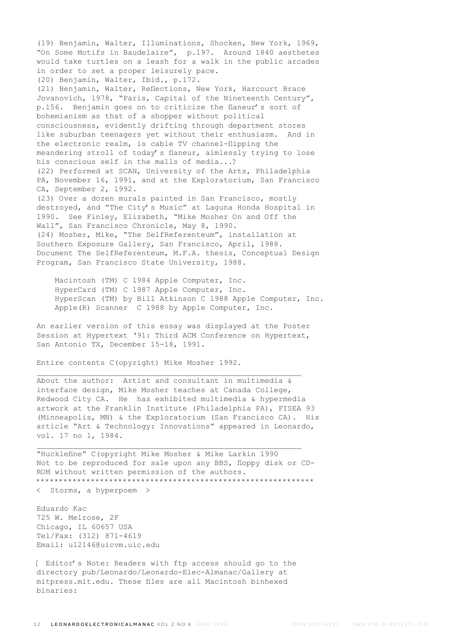(19) Benjamin, Walter, Illuminations, Shocken, New York, 1969, "On Some Motifs in Baudelaire", p.197. Around 1840 aesthetes would take turtles on a leash for a walk in the public arcades in order to set a proper leisurely pace. (20) Benjamin, Walter, Ibid., p.172. (21) Benjamin, Walter, Reflections, New York, Harcourt Brace Jovanovich, 1978, "Paris, Capital of the Nineteenth Century", p.156. Benjamin goes on to criticize the flaneur's sort of bohemianism as that of a shopper without political consciousness, evidently drifting through department stores like suburban teenagers yet without their enthusiasm. And in the electronic realm, is cable TV channel-flipping the meandering stroll of today's flaneur, aimlessly trying to lose his conscious self in the malls of media...? (22) Performed at SCAN, University of the Arts, Philadelphia PA, November 16, 1991, and at the Exploratorium, San Francisco CA, September 2, 1992. (23) Over a dozen murals painted in San Francisco, mostly destroyed, and "The City's Music" at Laguna Honda Hospital in 1990. See Finley, Elizabeth, "Mike Mosher On and Off the Wall", San Francisco Chronicle, May 8, 1990. (24) Mosher, Mike, "The SelfReferenteum", installation at Southern Exposure Gallery, San Francisco, April, 1988. Document The SelfReferenteum, M.F.A. thesis, Conceptual Design Program, San Francisco State University, 1988.

 Macintosh (TM) C 1984 Apple Computer, Inc. HyperCard (TM) C 1987 Apple Computer, Inc. HyperScan (TM) by Bill Atkinson C 1988 Apple Computer, Inc. Apple(R) Scanner C 1988 by Apple Computer, Inc.

An earlier version of this essay was displayed at the Poster Session at Hypertext '91: Third ACM Conference on Hypertext, San Antonio TX, December 15-18, 1991.

 $\mathcal{L}_\text{max}$  and the contract of the contract of the contract of the contract of the contract of the contract of

Entire contents C(opyright) Mike Mosher 1992.

About the author: Artist and consultant in multimedia & interface design, Mike Mosher teaches at Canada College, Redwood City CA. He has exhibited multimedia & hypermedia artwork at the Franklin Institute (Philadelphia PA), FISEA 93 (Minneapolis, MN) & the Exploratorium (San Francisco CA). His article "Art & Technology: Innovations" appeared in Leonardo, vol. 17 no 1, 1984.

"Hucklefine" C(opyright Mike Mosher & Mike Larkin 1990 Not to be reproduced for sale upon any BBS, floppy disk or CD-ROM without written permission of the authors. \*\*\*\*\*\*\*\*\*\*\*\*\*\*\*\*\*\*\*\*\*\*\*\*\*\*\*\*\*\*\*\*\*\*\*\*\*\*\*\*\*\*\*\*\*\*\*\*\*\*\*\*\*\*\*\*\*\*\*\*\*

 $\mathcal{L}_\text{max}$  and the contract of the contract of the contract of the contract of the contract of the contract of

< Storms, a hyperpoem >

Eduardo Kac 725 W. Melrose, 2F Chicago, IL 60657 USA Tel/Fax: (312) 871-4619 Email: u12146@uicvm.uic.edu

[ Editor's Note: Readers with ftp access should go to the directory pub/Leonardo/Leonardo-Elec-Almanac/Gallery at mitpress.mit.edu. These files are all Macintosh binhexed binaries: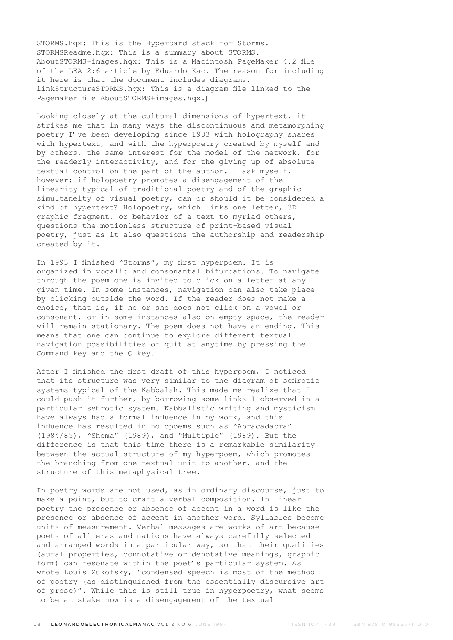STORMS.hqx: This is the Hypercard stack for Storms. STORMSReadme.hqx: This is a summary about STORMS. AboutSTORMS+images.hqx: This is a Macintosh PageMaker 4.2 file of the LEA 2:6 article by Eduardo Kac. The reason for including it here is that the document includes diagrams. linkStructureSTORMS.hqx: This is a diagram file linked to the Pagemaker file AboutSTORMS+images.hqx.]

Looking closely at the cultural dimensions of hypertext, it strikes me that in many ways the discontinuous and metamorphing poetry I've been developing since 1983 with holography shares with hypertext, and with the hyperpoetry created by myself and by others, the same interest for the model of the network, for the readerly interactivity, and for the giving up of absolute textual control on the part of the author. I ask myself, however: if holopoetry promotes a disengagement of the linearity typical of traditional poetry and of the graphic simultaneity of visual poetry, can or should it be considered a kind of hypertext? Holopoetry, which links one letter, 3D graphic fragment, or behavior of a text to myriad others, questions the motionless structure of print-based visual poetry, just as it also questions the authorship and readership created by it.

In 1993 I finished "Storms", my first hyperpoem. It is organized in vocalic and consonantal bifurcations. To navigate through the poem one is invited to click on a letter at any given time. In some instances, navigation can also take place by clicking outside the word. If the reader does not make a choice, that is, if he or she does not click on a vowel or consonant, or in some instances also on empty space, the reader will remain stationary. The poem does not have an ending. This means that one can continue to explore different textual navigation possibilities or quit at anytime by pressing the Command key and the Q key.

After I finished the first draft of this hyperpoem, I noticed that its structure was very similar to the diagram of sefirotic systems typical of the Kabbalah. This made me realize that I could push it further, by borrowing some links I observed in a particular sefirotic system. Kabbalistic writing and mysticism have always had a formal influence in my work, and this influence has resulted in holopoems such as "Abracadabra" (1984/85), "Shema" (1989), and "Multiple" (1989). But the difference is that this time there is a remarkable similarity between the actual structure of my hyperpoem, which promotes the branching from one textual unit to another, and the structure of this metaphysical tree.

In poetry words are not used, as in ordinary discourse, just to make a point, but to craft a verbal composition. In linear poetry the presence or absence of accent in a word is like the presence or absence of accent in another word. Syllables become units of measurement. Verbal messages are works of art because poets of all eras and nations have always carefully selected and arranged words in a particular way, so that their qualities (aural properties, connotative or denotative meanings, graphic form) can resonate within the poet's particular system. As wrote Louis Zukofsky, "condensed speech is most of the method of poetry (as distinguished from the essentially discursive art of prose)". While this is still true in hyperpoetry, what seems to be at stake now is a disengagement of the textual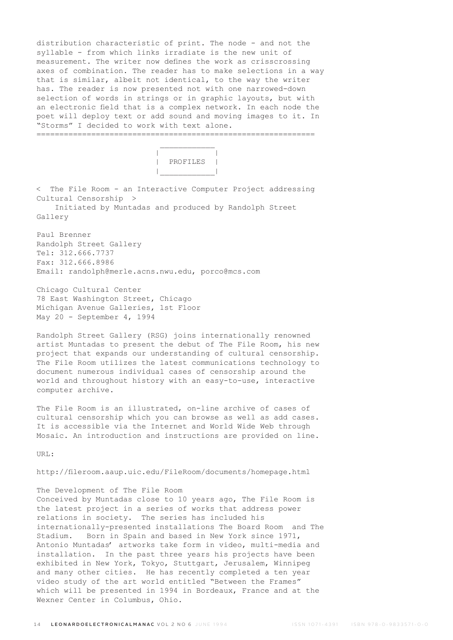distribution characteristic of print. The node - and not the syllable - from which links irradiate is the new unit of measurement. The writer now defines the work as crisscrossing axes of combination. The reader has to make selections in a way that is similar, albeit not identical, to the way the writer has. The reader is now presented not with one narrowed-down selection of words in strings or in graphic layouts, but with an electronic field that is a complex network. In each node the poet will deploy text or add sound and moving images to it. In "Storms" I decided to work with text alone.

 | | | PROFILES | |\_\_\_\_\_\_\_\_\_\_\_\_|

< The File Room - an Interactive Computer Project addressing Cultural Censorship >

=============================================================

 Initiated by Muntadas and produced by Randolph Street Gallery

Paul Brenner Randolph Street Gallery Tel: 312.666.7737 Fax: 312.666.8986 Email: randolph@merle.acns.nwu.edu, porco@mcs.com

Chicago Cultural Center 78 East Washington Street, Chicago Michigan Avenue Galleries, 1st Floor May 20 - September 4, 1994

 $\mathcal{L}_\text{max}$  and  $\mathcal{L}_\text{max}$  and  $\mathcal{L}_\text{max}$  and  $\mathcal{L}_\text{max}$ 

Randolph Street Gallery (RSG) joins internationally renowned artist Muntadas to present the debut of The File Room, his new project that expands our understanding of cultural censorship. The File Room utilizes the latest communications technology to document numerous individual cases of censorship around the world and throughout history with an easy-to-use, interactive computer archive.

The File Room is an illustrated, on-line archive of cases of cultural censorship which you can browse as well as add cases. It is accessible via the Internet and World Wide Web through Mosaic. An introduction and instructions are provided on line.

URL:

http://fileroom.aaup.uic.edu/FileRoom/documents/homepage.html

# The Development of The File Room

Conceived by Muntadas close to 10 years ago, The File Room is the latest project in a series of works that address power relations in society. The series has included his internationally-presented installations The Board Room and The Stadium. Born in Spain and based in New York since 1971, Antonio Muntadas' artworks take form in video, multi-media and installation. In the past three years his projects have been exhibited in New York, Tokyo, Stuttgart, Jerusalem, Winnipeg and many other cities. He has recently completed a ten year video study of the art world entitled "Between the Frames" which will be presented in 1994 in Bordeaux, France and at the Wexner Center in Columbus, Ohio.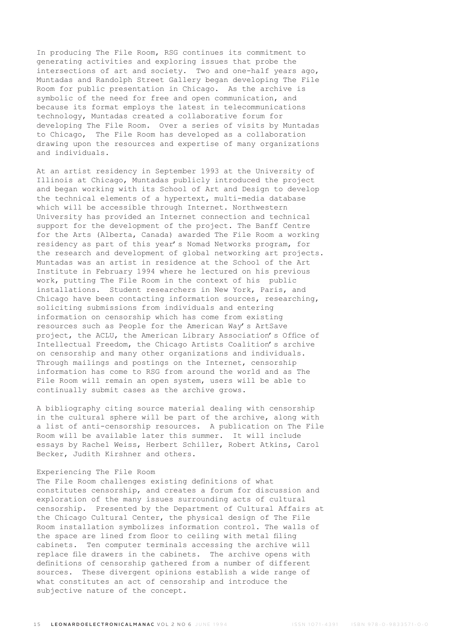In producing The File Room, RSG continues its commitment to generating activities and exploring issues that probe the intersections of art and society. Two and one-half years ago, Muntadas and Randolph Street Gallery began developing The File Room for public presentation in Chicago. As the archive is symbolic of the need for free and open communication, and because its format employs the latest in telecommunications technology, Muntadas created a collaborative forum for developing The File Room. Over a series of visits by Muntadas to Chicago, The File Room has developed as a collaboration drawing upon the resources and expertise of many organizations and individuals.

At an artist residency in September 1993 at the University of Illinois at Chicago, Muntadas publicly introduced the project and began working with its School of Art and Design to develop the technical elements of a hypertext, multi-media database which will be accessible through Internet. Northwestern University has provided an Internet connection and technical support for the development of the project. The Banff Centre for the Arts (Alberta, Canada) awarded The File Room a working residency as part of this year's Nomad Networks program, for the research and development of global networking art projects. Muntadas was an artist in residence at the School of the Art Institute in February 1994 where he lectured on his previous work, putting The File Room in the context of his public installations. Student researchers in New York, Paris, and Chicago have been contacting information sources, researching, soliciting submissions from individuals and entering information on censorship which has come from existing resources such as People for the American Way's ArtSave project, the ACLU, the American Library Association's Office of Intellectual Freedom, the Chicago Artists Coalition's archive on censorship and many other organizations and individuals. Through mailings and postings on the Internet, censorship information has come to RSG from around the world and as The File Room will remain an open system, users will be able to continually submit cases as the archive grows.

A bibliography citing source material dealing with censorship in the cultural sphere will be part of the archive, along with a list of anti-censorship resources. A publication on The File Room will be available later this summer. It will include essays by Rachel Weiss, Herbert Schiller, Robert Atkins, Carol Becker, Judith Kirshner and others.

# Experiencing The File Room

The File Room challenges existing definitions of what constitutes censorship, and creates a forum for discussion and exploration of the many issues surrounding acts of cultural censorship. Presented by the Department of Cultural Affairs at the Chicago Cultural Center, the physical design of The File Room installation symbolizes information control. The walls of the space are lined from floor to ceiling with metal filing cabinets. Ten computer terminals accessing the archive will replace file drawers in the cabinets. The archive opens with definitions of censorship gathered from a number of different sources. These divergent opinions establish a wide range of what constitutes an act of censorship and introduce the subjective nature of the concept.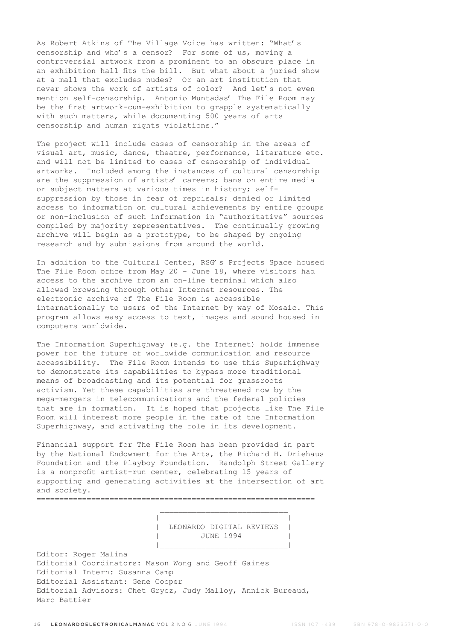As Robert Atkins of The Village Voice has written: "What's censorship and who's a censor? For some of us, moving a controversial artwork from a prominent to an obscure place in an exhibition hall fits the bill. But what about a juried show at a mall that excludes nudes? Or an art institution that never shows the work of artists of color? And let's not even mention self-censorship. Antonio Muntadas' The File Room may be the first artwork-cum-exhibition to grapple systematically with such matters, while documenting 500 years of arts censorship and human rights violations."

The project will include cases of censorship in the areas of visual art, music, dance, theatre, performance, literature etc. and will not be limited to cases of censorship of individual artworks. Included among the instances of cultural censorship are the suppression of artists' careers; bans on entire media or subject matters at various times in history; selfsuppression by those in fear of reprisals; denied or limited access to information on cultural achievements by entire groups or non-inclusion of such information in "authoritative" sources compiled by majority representatives. The continually growing archive will begin as a prototype, to be shaped by ongoing research and by submissions from around the world.

In addition to the Cultural Center, RSG's Projects Space housed The File Room office from May 20 - June 18, where visitors had access to the archive from an on-line terminal which also allowed browsing through other Internet resources. The electronic archive of The File Room is accessible internationally to users of the Internet by way of Mosaic. This program allows easy access to text, images and sound housed in computers worldwide.

The Information Superhighway (e.g. the Internet) holds immense power for the future of worldwide communication and resource accessibility. The File Room intends to use this Superhighway to demonstrate its capabilities to bypass more traditional means of broadcasting and its potential for grassroots activism. Yet these capabilities are threatened now by the mega-mergers in telecommunications and the federal policies that are in formation. It is hoped that projects like The File Room will interest more people in the fate of the Information Superhighway, and activating the role in its development.

Financial support for The File Room has been provided in part by the National Endowment for the Arts, the Richard H. Driehaus Foundation and the Playboy Foundation. Randolph Street Gallery is a nonprofit artist-run center, celebrating 15 years of supporting and generating activities at the intersection of art and society.

=============================================================

 $\mathcal{L}_\text{max}$  and  $\mathcal{L}_\text{max}$  and  $\mathcal{L}_\text{max}$  and  $\mathcal{L}_\text{max}$ 

|\_\_\_\_\_\_\_\_\_\_\_\_\_\_\_\_\_\_\_\_\_\_\_\_\_\_\_\_|

 | | | LEONARDO DIGITAL REVIEWS | | JUNE 1994 |

Editor: Roger Malina Editorial Coordinators: Mason Wong and Geoff Gaines Editorial Intern: Susanna Camp Editorial Assistant: Gene Cooper Editorial Advisors: Chet Grycz, Judy Malloy, Annick Bureaud, Marc Battier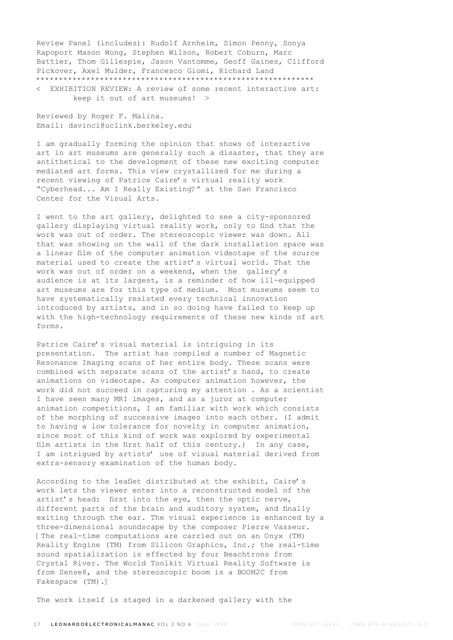Review Panel (includes): Rudolf Arnheim, Simon Penny, Sonya Rapoport Mason Wong, Stephen Wilson, Robert Coburn, Marc Battier, Thom Gillespie, Jason Vantomme, Geoff Gaines, Clifford Pickover, Axel Mulder, Francesco Giomi, Richard Land \*\*\*\*\*\*\*\*\*\*\*\*\*\*\*\*\*\*\*\*\*\*\*\*\*\*\*\*\*\*\*\*\*\*\*\*\*\*\*\*\*\*\*\*\*\*\*\*\*\*\*\*\*\*\*\*\*\*\*\*\*

< EXHIBITION REVIEW: A review of some recent interactive art: keep it out of art museums! >

Reviewed by Roger F. Malina. Email: davinci@uclink.berkeley.edu

I am gradually forming the opinion that shows of interactive art in art museums are generally such a disaster, that they are antithetical to the development of these new exciting computer mediated art forms. This view crystallized for me during a recent viewing of Patrice Caire's virtual reality work "Cyberhead... Am I Really Existing?" at the San Francisco Center for the Visual Arts.

I went to the art gallery, delighted to see a city-sponsored gallery displaying virtual reality work, only to find that the work was out of order. The stereoscopic viewer was down. All that was showing on the wall of the dark installation space was a linear film of the computer animation videotape of the source material used to create the artist's virtual world. That the work was out of order on a weekend, when the gallery's audience is at its largest, is a reminder of how ill-equipped art museums are for this type of medium. Most museums seem to have systematically resisted every technical innovation introduced by artists, and in so doing have failed to keep up with the high-technology requirements of these new kinds of art forms.

Patrice Caire's visual material is intriguing in its presentation. The artist has compiled a number of Magnetic Resonance Imaging scans of her entire body. These scans were combined with separate scans of the artist's hand, to create animations on videotape. As computer animation however, the work did not succeed in capturing my attention . As a scientist I have seen many MRI images, and as a juror at computer animation competitions, I am familiar with work which consists of the morphing of successive images into each other. (I admit to having a low tolerance for novelty in computer animation, since most of this kind of work was explored by experimental film artists in the first half of this century.) In any case, I am intrigued by artists' use of visual material derived from extra-sensory examination of the human body.

According to the leaflet distributed at the exhibit, Caire's work lets the viewer enter into a reconstructed model of the artist's head: first into the eye, then the optic nerve, different parts of the brain and auditory system, and finally exiting through the ear. The visual experience is enhanced by a three-dimensional soundscape by the composer Pierre Vasseur. [The real-time computations are carried out on an Onyx (TM) Reality Engine (TM) from Silicon Graphics, Inc.; the real-time sound spatialization is effected by four Beachtrons from Crystal River. The World Toolkit Virtual Reality Software is from Sense8, and the stereoscopic boom is a BOOM2C from Fakespace (TM).]

The work itself is staged in a darkened gallery with the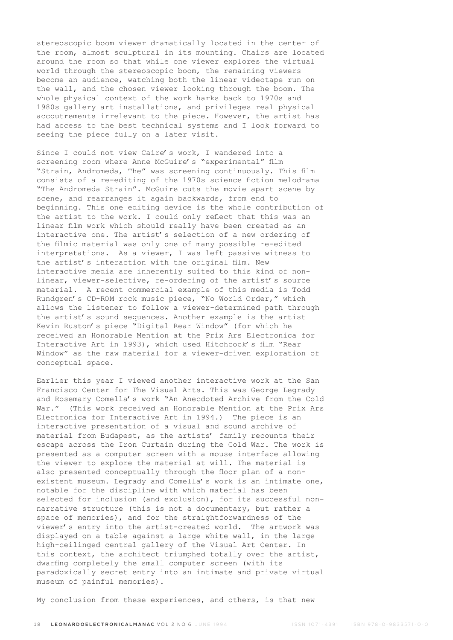stereoscopic boom viewer dramatically located in the center of the room, almost sculptural in its mounting. Chairs are located around the room so that while one viewer explores the virtual world through the stereoscopic boom, the remaining viewers become an audience, watching both the linear videotape run on the wall, and the chosen viewer looking through the boom. The whole physical context of the work harks back to 1970s and 1980s gallery art installations, and privileges real physical accoutrements irrelevant to the piece. However, the artist has had access to the best technical systems and I look forward to seeing the piece fully on a later visit.

Since I could not view Caire's work, I wandered into a screening room where Anne McGuire's "experimental" film "Strain, Andromeda, The" was screening continuously. This film consists of a re-editing of the 1970s science fiction melodrama "The Andromeda Strain". McGuire cuts the movie apart scene by scene, and rearranges it again backwards, from end to beginning. This one editing device is the whole contribution of the artist to the work. I could only reflect that this was an linear film work which should really have been created as an interactive one. The artist's selection of a new ordering of the filmic material was only one of many possible re-edited interpretations. As a viewer, I was left passive witness to the artist's interaction with the original film. New interactive media are inherently suited to this kind of nonlinear, viewer-selective, re-ordering of the artist's source material. A recent commercial example of this media is Todd Rundgren's CD-ROM rock music piece, "No World Order," which allows the listener to follow a viewer-determined path through the artist's sound sequences. Another example is the artist Kevin Ruston's piece "Digital Rear Window" (for which he received an Honorable Mention at the Prix Ars Electronica for Interactive Art in 1993), which used Hitchcock's film "Rear Window" as the raw material for a viewer-driven exploration of conceptual space.

Earlier this year I viewed another interactive work at the San Francisco Center for The Visual Arts. This was George Legrady and Rosemary Comella's work "An Anecdoted Archive from the Cold War." (This work received an Honorable Mention at the Prix Ars Electronica for Interactive Art in 1994.) The piece is an interactive presentation of a visual and sound archive of material from Budapest, as the artists' family recounts their escape across the Iron Curtain during the Cold War. The work is presented as a computer screen with a mouse interface allowing the viewer to explore the material at will. The material is also presented conceptually through the floor plan of a nonexistent museum. Legrady and Comella's work is an intimate one, notable for the discipline with which material has been selected for inclusion (and exclusion), for its successful nonnarrative structure (this is not a documentary, but rather a space of memories), and for the straightforwardness of the viewer's entry into the artist-created world. The artwork was displayed on a table against a large white wall, in the large high-ceilinged central gallery of the Visual Art Center. In this context, the architect triumphed totally over the artist, dwarfing completely the small computer screen (with its paradoxically secret entry into an intimate and private virtual museum of painful memories).

My conclusion from these experiences, and others, is that new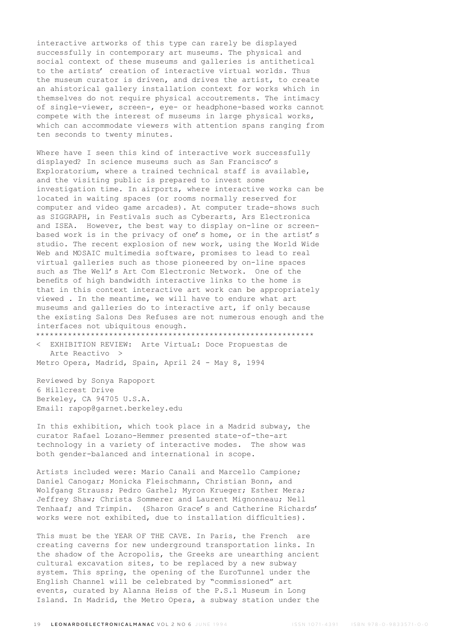interactive artworks of this type can rarely be displayed successfully in contemporary art museums. The physical and social context of these museums and galleries is antithetical to the artists' creation of interactive virtual worlds. Thus the museum curator is driven, and drives the artist, to create an ahistorical gallery installation context for works which in themselves do not require physical accoutrements. The intimacy of single-viewer, screen-, eye- or headphone-based works cannot compete with the interest of museums in large physical works, which can accommodate viewers with attention spans ranging from ten seconds to twenty minutes.

Where have I seen this kind of interactive work successfully displayed? In science museums such as San Francisco's Exploratorium, where a trained technical staff is available, and the visiting public is prepared to invest some investigation time. In airports, where interactive works can be located in waiting spaces (or rooms normally reserved for computer and video game arcades). At computer trade-shows such as SIGGRAPH, in Festivals such as Cyberarts, Ars Electronica and ISEA. However, the best way to display on-line or screenbased work is in the privacy of one's home, or in the artist's studio. The recent explosion of new work, using the World Wide Web and MOSAIC multimedia software, promises to lead to real virtual galleries such as those pioneered by on-line spaces such as The Well's Art Com Electronic Network. One of the benefits of high bandwidth interactive links to the home is that in this context interactive art work can be appropriately viewed . In the meantime, we will have to endure what art museums and galleries do to interactive art, if only because the existing Salons Des Refuses are not numerous enough and the interfaces not ubiquitous enough. \*\*\*\*\*\*\*\*\*\*\*\*\*\*\*\*\*\*\*\*\*\*\*\*\*\*\*\*\*\*\*\*\*\*\*\*\*\*\*\*\*\*\*\*\*\*\*\*\*\*\*\*\*\*\*\*\*\*\*\*\*

< EXHIBITION REVIEW: Arte VirtuaL: Doce Propuestas de Arte Reactivo >

Metro Opera, Madrid, Spain, April 24 - May 8, 1994

Reviewed by Sonya Rapoport 6 Hillcrest Drive Berkeley, CA 94705 U.S.A. Email: rapop@garnet.berkeley.edu

In this exhibition, which took place in a Madrid subway, the curator Rafael Lozano-Hemmer presented state-of-the-art technology in a variety of interactive modes. The show was both gender-balanced and international in scope.

Artists included were: Mario Canali and Marcello Campione; Daniel Canogar; Monicka Fleischmann, Christian Bonn, and Wolfgang Strauss; Pedro Garhel; Myron Krueger; Esther Mera; Jeffrey Shaw; Christa Sommerer and Laurent Mignonneau; Nell Tenhaaf; and Trimpin. (Sharon Grace's and Catherine Richards' works were not exhibited, due to installation difficulties).

This must be the YEAR OF THE CAVE. In Paris, the French are creating caverns for new underground transportation links. In the shadow of the Acropolis, the Greeks are unearthing ancient cultural excavation sites, to be replaced by a new subway system. This spring, the opening of the EuroTunnel under the English Channel will be celebrated by "commissioned" art events, curated by Alanna Heiss of the P.S.1 Museum in Long Island. In Madrid, the Metro Opera, a subway station under the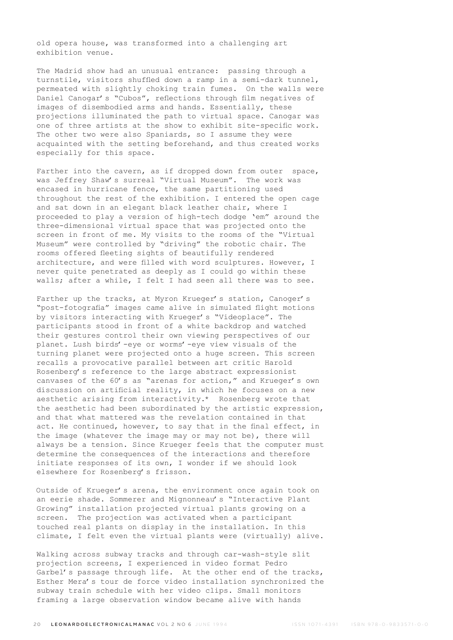old opera house, was transformed into a challenging art exhibition venue.

The Madrid show had an unusual entrance: passing through a turnstile, visitors shuffled down a ramp in a semi-dark tunnel, permeated with slightly choking train fumes. On the walls were Daniel Canogar's "Cubos", reflections through film negatives of images of disembodied arms and hands. Essentially, these projections illuminated the path to virtual space. Canogar was one of three artists at the show to exhibit site-specific work. The other two were also Spaniards, so I assume they were acquainted with the setting beforehand, and thus created works especially for this space.

Farther into the cavern, as if dropped down from outer space, was Jeffrey Shaw's surreal "Virtual Museum". The work was encased in hurricane fence, the same partitioning used throughout the rest of the exhibition. I entered the open cage and sat down in an elegant black leather chair, where I proceeded to play a version of high-tech dodge 'em" around the three-dimensional virtual space that was projected onto the screen in front of me. My visits to the rooms of the "Virtual Museum" were controlled by "driving" the robotic chair. The rooms offered fleeting sights of beautifully rendered architecture, and were filled with word sculptures. However, I never quite penetrated as deeply as I could go within these walls; after a while, I felt I had seen all there was to see.

Farther up the tracks, at Myron Krueger's station, Canoger's "post-fotografia" images came alive in simulated flight motions by visitors interacting with Krueger's "Videoplace". The participants stood in front of a white backdrop and watched their gestures control their own viewing perspectives of our planet. Lush birds'-eye or worms'-eye view visuals of the turning planet were projected onto a huge screen. This screen recalls a provocative parallel between art critic Harold Rosenberg's reference to the large abstract expressionist canvases of the 60's as "arenas for action," and Krueger's own discussion on artificial reality, in which he focuses on a new aesthetic arising from interactivity.\* Rosenberg wrote that the aesthetic had been subordinated by the artistic expression, and that what mattered was the revelation contained in that act. He continued, however, to say that in the final effect, in the image (whatever the image may or may not be), there will always be a tension. Since Krueger feels that the computer must determine the consequences of the interactions and therefore initiate responses of its own, I wonder if we should look elsewhere for Rosenberg's frisson.

Outside of Krueger's arena, the environment once again took on an eerie shade. Sommerer and Mignonneau's "Interactive Plant Growing" installation projected virtual plants growing on a screen. The projection was activated when a participant touched real plants on display in the installation. In this climate, I felt even the virtual plants were (virtually) alive.

Walking across subway tracks and through car-wash-style slit projection screens, I experienced in video format Pedro Garbel's passage through life. At the other end of the tracks, Esther Mera's tour de force video installation synchronized the subway train schedule with her video clips. Small monitors framing a large observation window became alive with hands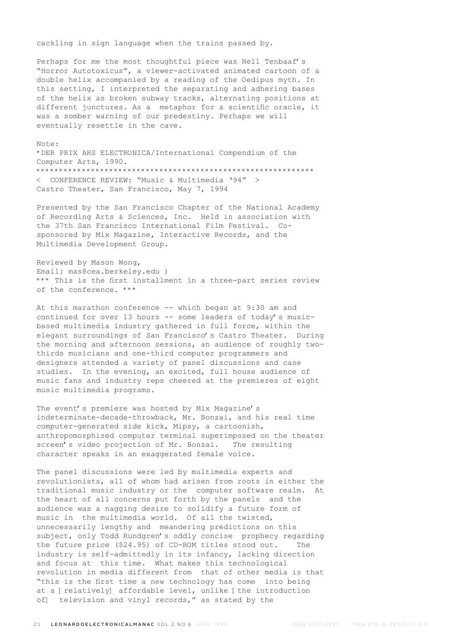cackling in sign language when the trains passed by.

Perhaps for me the most thoughtful piece was Nell Tenbaaf's "Horror Autotoxicus", a viewer-activated animated cartoon of a double helix accompanied by a reading of the Oedipus myth. In this setting, I interpreted the separating and adhering bases of the helix as broken subway tracks, alternating positions at different junctures. As a metaphor for a scientific oracle, it was a somber warning of our predestiny. Perhaps we will eventually resettle in the cave.

Note: \*DER PRIX ARS ELECTRONICA/International Compendium of the Computer Arts, 1990. \*\*\*\*\*\*\*\*\*\*\*\*\*\*\*\*\*\*\*\*\*\*\*\*\*\*\*\*\*\*\*\*\*\*\*\*\*\*\*\*\*\*\*\*\*\*\*\*\*\*\*\*\*\*\*\*\*\*\*\*\* < CONFERENCE REVIEW: "Music & Multimedia '94" > Castro Theater, San Francisco, May 7, 1994

Presented by the San Francisco Chapter of the National Academy of Recording Arts & Sciences, Inc. Held in association with the 37th San Francisco International Film Festival. Cosponsored by Mix Magazine, Interactive Records, and the Multimedia Development Group.

Reviewed by Mason Wong, Email: mas@cea.berkeley.edu ) \*\*\* This is the first installment in a three-part series review of the conference. \*\*\*

At this marathon conference -- which began at 9:30 am and continued for over 13 hours -- some leaders of today's musicbased multimedia industry gathered in full force, within the elegant surroundings of San Francisco's Castro Theater. During the morning and afternoon sessions, an audience of roughly twothirds musicians and one-third computer programmers and designers attended a variety of panel discussions and case studies. In the evening, an excited, full house audience of music fans and industry reps cheered at the premieres of eight music multimedia programs.

The event's premiere was hosted by Mix Magazine's indeterminate-decade-throwback, Mr. Bonzai, and his real time computer-generated side kick, Mipsy, a cartoonish, anthropomorphized computer terminal superimposed on the theater screen's video projection of Mr. Bonzai. The resulting character speaks in an exaggerated female voice.

The panel discussions were led by multimedia experts and revolutionists, all of whom had arisen from roots in either the traditional music industry or the computer software realm. At the heart of all concerns put forth by the panels and the audience was a nagging desire to solidify a future form of music in the multimedia world. Of all the twisted, unnecessarily lengthy and meandering predictions on this subject, only Todd Rundgren's oddly concise prophecy regarding the future price (\$24.95) of CD-ROM titles stood out. The industry is self-admittedly in its infancy, lacking direction and focus at this time. What makes this technological revolution in media different from that of other media is that "this is the first time a new technology has come into being at a [relatively] affordable level, unlike [the introduction of] television and vinyl records," as stated by the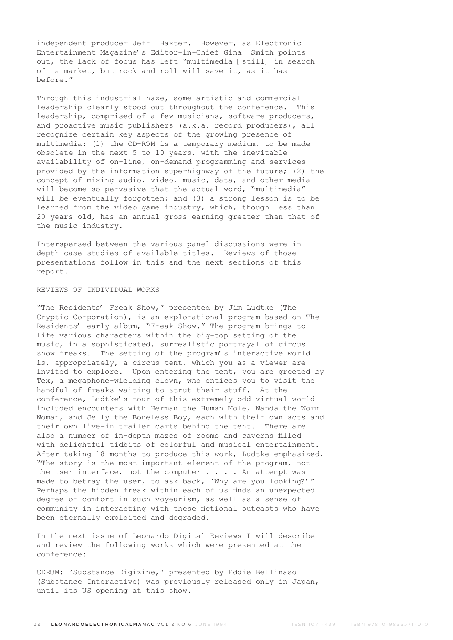independent producer Jeff Baxter. However, as Electronic Entertainment Magazine's Editor-in-Chief Gina Smith points out, the lack of focus has left "multimedia [still] in search of a market, but rock and roll will save it, as it has before."

Through this industrial haze, some artistic and commercial leadership clearly stood out throughout the conference. This leadership, comprised of a few musicians, software producers, and proactive music publishers (a.k.a. record producers), all recognize certain key aspects of the growing presence of multimedia: (1) the CD-ROM is a temporary medium, to be made obsolete in the next 5 to 10 years, with the inevitable availability of on-line, on-demand programming and services provided by the information superhighway of the future; (2) the concept of mixing audio, video, music, data, and other media will become so pervasive that the actual word, "multimedia" will be eventually forgotten; and (3) a strong lesson is to be learned from the video game industry, which, though less than 20 years old, has an annual gross earning greater than that of the music industry.

Interspersed between the various panel discussions were indepth case studies of available titles. Reviews of those presentations follow in this and the next sections of this report.

### REVIEWS OF INDIVIDUAL WORKS

"The Residents' Freak Show," presented by Jim Ludtke (The Cryptic Corporation), is an explorational program based on The Residents' early album, "Freak Show." The program brings to life various characters within the big-top setting of the music, in a sophisticated, surrealistic portrayal of circus show freaks. The setting of the program's interactive world is, appropriately, a circus tent, which you as a viewer are invited to explore. Upon entering the tent, you are greeted by Tex, a megaphone-wielding clown, who entices you to visit the handful of freaks waiting to strut their stuff. At the conference, Ludtke's tour of this extremely odd virtual world included encounters with Herman the Human Mole, Wanda the Worm Woman, and Jelly the Boneless Boy, each with their own acts and their own live-in trailer carts behind the tent. There are also a number of in-depth mazes of rooms and caverns filled with delightful tidbits of colorful and musical entertainment. After taking 18 months to produce this work, Ludtke emphasized, "The story is the most important element of the program, not the user interface, not the computer . . . . An attempt was made to betray the user, to ask back, 'Why are you looking?'" Perhaps the hidden freak within each of us finds an unexpected degree of comfort in such voyeurism, as well as a sense of community in interacting with these fictional outcasts who have been eternally exploited and degraded.

In the next issue of Leonardo Digital Reviews I will describe and review the following works which were presented at the conference:

CDROM: "Substance Digizine," presented by Eddie Bellinaso (Substance Interactive) was previously released only in Japan, until its US opening at this show.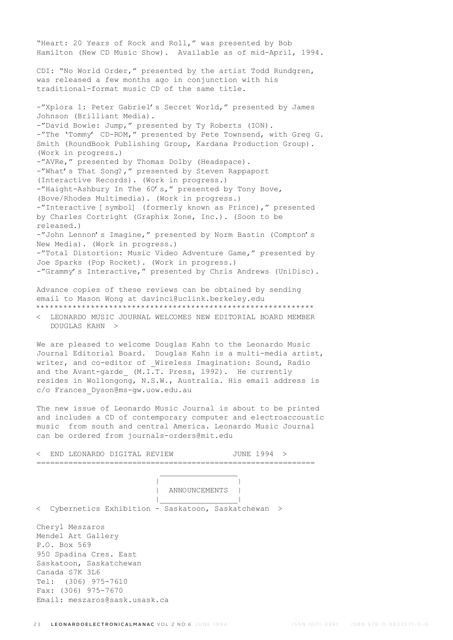"Heart: 20 Years of Rock and Roll," was presented by Bob Hamilton (New CD Music Show). Available as of mid-April, 1994. CDI: "No World Order," presented by the artist Todd Rundgren, was released a few months ago in conjunction with his traditional-format music CD of the same title. -"Xplora 1: Peter Gabriel's Secret World," presented by James Johnson (Brilliant Media). -"David Bowie: Jump," presented by Ty Roberts (ION). -"The 'Tommy' CD-ROM," presented by Pete Townsend, with Greg G. Smith (RoundBook Publishing Group, Kardana Production Group). (Work in progress.) -"AVRe," presented by Thomas Dolby (Headspace). -"What's That Song?," presented by Steven Rappaport (Interactive Records). (Work in progress.) -"Haight-Ashbury In The 60's," presented by Tony Bove, (Bove/Rhodes Multimedia). (Work in progress.) -"Interactive [symbol] (formerly known as Prince)," presented by Charles Cortright (Graphix Zone, Inc.). (Soon to be released.) -"John Lennon's Imagine," presented by Norm Bastin (Compton's New Media). (Work in progress.) -"Total Distortion: Music Video Adventure Game," presented by Joe Sparks (Pop Rocket). (Work in progress.) -"Grammy's Interactive," presented by Chris Andrews (UniDisc).

Advance copies of these reviews can be obtained by sending email to Mason Wong at davinci@uclink.berkeley.edu

\*\*\*\*\*\*\*\*\*\*\*\*\*\*\*\*\*\*\*\*\*\*\*\*\*\*\*\*\*\*\*\*\*\*\*\*\*\*\*\*\*\*\*\*\*\*\*\*\*\*\*\*\*\*\*\*\*\*\*\*\* < LEONARDO MUSIC JOURNAL WELCOMES NEW EDITORIAL BOARD MEMBER DOUGLAS KAHN >

We are pleased to welcome Douglas Kahn to the Leonardo Music Journal Editorial Board. Douglas Kahn is a multi-media artist, writer, and co-editor of Wireless Imagination: Sound, Radio and the Avant-garde\_ (M.I.T. Press, 1992). He currently resides in Wollongong, N.S.W., Australia. His email address is c/o Frances\_Dyson@ms-gw.uow.edu.au

The new issue of Leonardo Music Journal is about to be printed and includes a CD of contemporary computer and electroaccoustic music from south and central America. Leonardo Music Journal can be ordered from journals-orders@mit.edu

| END LEONARDO DIGITAL REVIEW                                                                                                                                                                                 |               | JUNE 1994 > |  |
|-------------------------------------------------------------------------------------------------------------------------------------------------------------------------------------------------------------|---------------|-------------|--|
|                                                                                                                                                                                                             | ANNOUNCEMENTS |             |  |
| < Cybernetics Exhibition - Saskatoon, Saskatchewan >                                                                                                                                                        |               |             |  |
| Cheryl Meszaros<br>Mendel Art Gallery<br>P.O. Box 569<br>950 Spadina Cres. East<br>Saskatoon, Saskatchewan<br>Canada S7K 3L6<br>Tel: (306) 975-7610<br>Fax: (306) 975-7670<br>Email: meszaros@sask.usask.ca |               |             |  |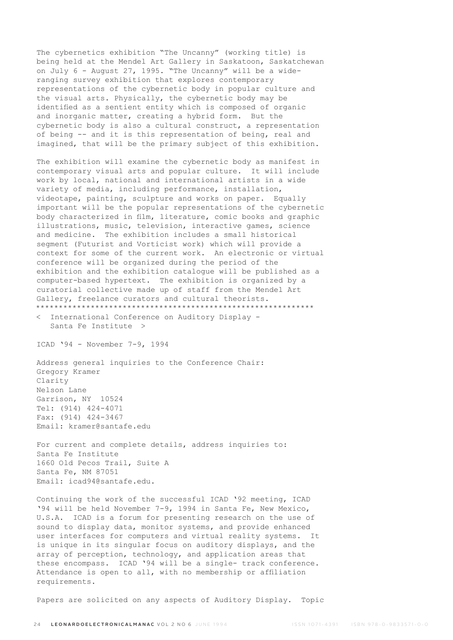The cybernetics exhibition "The Uncanny" (working title) is being held at the Mendel Art Gallery in Saskatoon, Saskatchewan on July 6 - August 27, 1995. "The Uncanny" will be a wideranging survey exhibition that explores contemporary representations of the cybernetic body in popular culture and the visual arts. Physically, the cybernetic body may be identified as a sentient entity which is composed of organic and inorganic matter, creating a hybrid form. But the cybernetic body is also a cultural construct, a representation of being -- and it is this representation of being, real and imagined, that will be the primary subject of this exhibition.

The exhibition will examine the cybernetic body as manifest in contemporary visual arts and popular culture. It will include work by local, national and international artists in a wide variety of media, including performance, installation, videotape, painting, sculpture and works on paper. Equally important will be the popular representations of the cybernetic body characterized in film, literature, comic books and graphic illustrations, music, television, interactive games, science and medicine. The exhibition includes a small historical segment (Futurist and Vorticist work) which will provide a context for some of the current work. An electronic or virtual conference will be organized during the period of the exhibition and the exhibition catalogue will be published as a computer-based hypertext. The exhibition is organized by a curatorial collective made up of staff from the Mendel Art Gallery, freelance curators and cultural theorists. \*\*\*\*\*\*\*\*\*\*\*\*\*\*\*\*\*\*\*\*\*\*\*\*\*\*\*\*\*\*\*\*\*\*\*\*\*\*\*\*\*\*\*\*\*\*\*\*\*\*\*\*\*\*\*\*\*\*\*\*\*

< International Conference on Auditory Display - Santa Fe Institute >

ICAD '94 - November 7-9, 1994

Address general inquiries to the Conference Chair: Gregory Kramer Clarity Nelson Lane Garrison, NY 10524 Tel: (914) 424-4071 Fax: (914) 424-3467 Email: kramer@santafe.edu

For current and complete details, address inquiries to: Santa Fe Institute 1660 Old Pecos Trail, Suite A Santa Fe, NM 87051 Email: icad94@santafe.edu.

Continuing the work of the successful ICAD '92 meeting, ICAD '94 will be held November 7-9, 1994 in Santa Fe, New Mexico, U.S.A. ICAD is a forum for presenting research on the use of sound to display data, monitor systems, and provide enhanced user interfaces for computers and virtual reality systems. It is unique in its singular focus on auditory displays, and the array of perception, technology, and application areas that these encompass. ICAD '94 will be a single- track conference. Attendance is open to all, with no membership or affiliation requirements.

Papers are solicited on any aspects of Auditory Display. Topic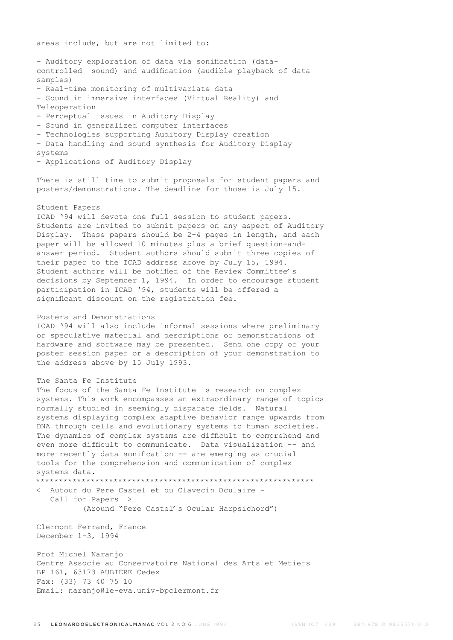areas include, but are not limited to:

```
- Auditory exploration of data via sonification (data-
controlled sound) and audification (audible playback of data 
samples)
- Real-time monitoring of multivariate data
- Sound in immersive interfaces (Virtual Reality) and 
Teleoperation
- Perceptual issues in Auditory Display
- Sound in generalized computer interfaces
- Technologies supporting Auditory Display creation
- Data handling and sound synthesis for Auditory Display 
systems
- Applications of Auditory Display
There is still time to submit proposals for student papers and 
posters/demonstrations. The deadline for those is July 15.
Student Papers
ICAD '94 will devote one full session to student papers. 
Students are invited to submit papers on any aspect of Auditory 
Display. These papers should be 2-4 pages in length, and each 
paper will be allowed 10 minutes plus a brief question-and-
answer period. Student authors should submit three copies of 
their paper to the ICAD address above by July 15, 1994. 
Student authors will be notified of the Review Committee's 
decisions by September 1, 1994. In order to encourage student 
participation in ICAD '94, students will be offered a 
significant discount on the registration fee.
Posters and Demonstrations
ICAD '94 will also include informal sessions where preliminary 
or speculative material and descriptions or demonstrations of 
hardware and software may be presented. Send one copy of your 
poster session paper or a description of your demonstration to 
the address above by 15 July 1993.
The Santa Fe Institute
The focus of the Santa Fe Institute is research on complex 
systems. This work encompasses an extraordinary range of topics 
normally studied in seemingly disparate fields. Natural 
systems displaying complex adaptive behavior range upwards from 
DNA through cells and evolutionary systems to human societies. 
The dynamics of complex systems are difficult to comprehend and 
even more difficult to communicate. Data visualization -- and
more recently data sonification -- are emerging as crucial 
tools for the comprehension and communication of complex 
systems data.
*************************************************************
< Autour du Pere Castel et du Clavecin Oculaire - 
   Call for Papers >
           (Around "Pere Castel's Ocular Harpsichord")
Clermont Ferrand, France
December 1-3, 1994
Prof Michel Naranjo
Centre Associe au Conservatoire National des Arts et Metiers
BP 161, 63173 AUBIERE Cedex
Fax: (33) 73 40 75 10
Email: naranjo@le-eva.univ-bpclermont.fr
```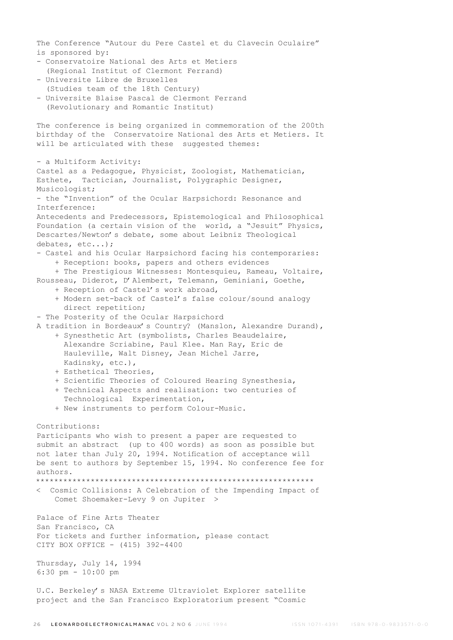The Conference "Autour du Pere Castel et du Clavecin Oculaire" is sponsored by: - Conservatoire National des Arts et Metiers (Regional Institut of Clermont Ferrand) - Universite Libre de Bruxelles (Studies team of the 18th Century) - Universite Blaise Pascal de Clermont Ferrand (Revolutionary and Romantic Institut) The conference is being organized in commemoration of the 200th birthday of the Conservatoire National des Arts et Metiers. It will be articulated with these suggested themes: - a Multiform Activity: Castel as a Pedagogue, Physicist, Zoologist, Mathematician, Esthete, Tactician, Journalist, Polygraphic Designer, Musicologist; - the "Invention" of the Ocular Harpsichord: Resonance and Interference: Antecedents and Predecessors, Epistemological and Philosophical Foundation (a certain vision of the world, a "Jesuit" Physics, Descartes/Newton's debate, some about Leibniz Theological debates, etc...); - Castel and his Ocular Harpsichord facing his contemporaries: + Reception: books, papers and others evidences + The Prestigious Witnesses: Montesquieu, Rameau, Voltaire, Rousseau, Diderot, D'Alembert, Telemann, Geminiani, Goethe, + Reception of Castel's work abroad, + Modern set-back of Castel's false colour/sound analogy direct repetition; - The Posterity of the Ocular Harpsichord A tradition in Bordeaux's Country? (Manslon, Alexandre Durand), + Synesthetic Art (symbolists, Charles Beaudelaire, Alexandre Scriabine, Paul Klee. Man Ray, Eric de Hauleville, Walt Disney, Jean Michel Jarre, Kadinsky, etc.), + Esthetical Theories, + Scientific Theories of Coloured Hearing Synesthesia, + Technical Aspects and realisation: two centuries of Technological Experimentation, + New instruments to perform Colour-Music. Contributions: Participants who wish to present a paper are requested to submit an abstract (up to 400 words) as soon as possible but not later than July 20, 1994. Notification of acceptance will be sent to authors by September 15, 1994. No conference fee for authors. \*\*\*\*\*\*\*\*\*\*\*\*\*\*\*\*\*\*\*\*\*\*\*\*\*\*\*\*\*\*\*\*\*\*\*\*\*\*\*\*\*\*\*\*\*\*\*\*\*\*\*\*\*\*\*\*\*\*\*\*\* < Cosmic Collisions: A Celebration of the Impending Impact of Comet Shoemaker-Levy 9 on Jupiter > Palace of Fine Arts Theater San Francisco, CA For tickets and further information, please contact CITY BOX OFFICE - (415) 392-4400 Thursday, July 14, 1994 6:30 pm - 10:00 pm U.C. Berkeley's NASA Extreme Ultraviolet Explorer satellite project and the San Francisco Exploratorium present "Cosmic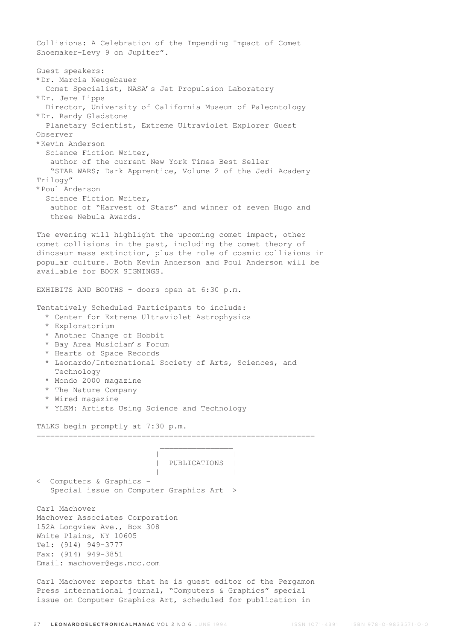Collisions: A Celebration of the Impending Impact of Comet Shoemaker-Levy 9 on Jupiter". Guest speakers: \*Dr. Marcia Neugebauer Comet Specialist, NASA's Jet Propulsion Laboratory \*Dr. Jere Lipps Director, University of California Museum of Paleontology \*Dr. Randy Gladstone Planetary Scientist, Extreme Ultraviolet Explorer Guest Observer \*Kevin Anderson Science Fiction Writer, author of the current New York Times Best Seller "STAR WARS; Dark Apprentice, Volume 2 of the Jedi Academy Trilogy" \*Poul Anderson Science Fiction Writer, author of "Harvest of Stars" and winner of seven Hugo and three Nebula Awards. The evening will highlight the upcoming comet impact, other comet collisions in the past, including the comet theory of dinosaur mass extinction, plus the role of cosmic collisions in popular culture. Both Kevin Anderson and Poul Anderson will be available for BOOK SIGNINGS. EXHIBITS AND BOOTHS - doors open at 6:30 p.m. Tentatively Scheduled Participants to include: \* Center for Extreme Ultraviolet Astrophysics \* Exploratorium \* Another Change of Hobbit \* Bay Area Musician's Forum \* Hearts of Space Records \* Leonardo/International Society of Arts, Sciences, and Technology \* Mondo 2000 magazine \* The Nature Company \* Wired magazine \* YLEM: Artists Using Science and Technology TALKS begin promptly at 7:30 p.m. =============================================================  $\mathcal{L}_\text{max}$  and  $\mathcal{L}_\text{max}$  and  $\mathcal{L}_\text{max}$  and  $\mathcal{L}_\text{max}$  | | | PUBLICATIONS | |\_\_\_\_\_\_\_\_\_\_\_\_\_\_\_\_| < Computers & Graphics - Special issue on Computer Graphics Art > Carl Machover Machover Associates Corporation 152A Longview Ave., Box 308 White Plains, NY 10605 Tel: (914) 949-3777 Fax: (914) 949-3851 Email: machover@egs.mcc.com Carl Machover reports that he is guest editor of the Pergamon

Press international journal, "Computers & Graphics" special issue on Computer Graphics Art, scheduled for publication in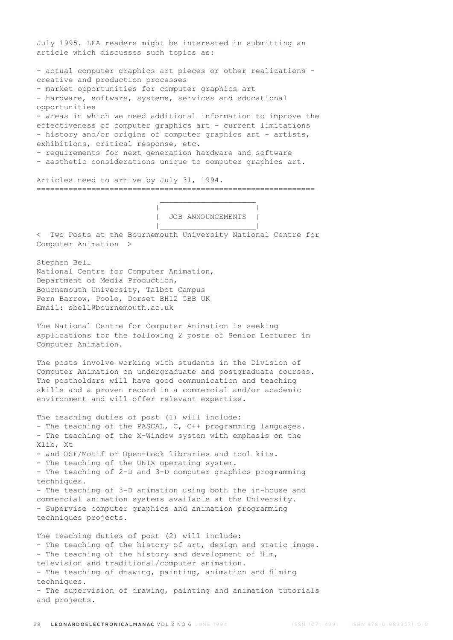July 1995. LEA readers might be interested in submitting an article which discusses such topics as: - actual computer graphics art pieces or other realizations creative and production processes - market opportunities for computer graphics art - hardware, software, systems, services and educational opportunities - areas in which we need additional information to improve the effectiveness of computer graphics art - current limitations - history and/or origins of computer graphics art - artists, exhibitions, critical response, etc. - requirements for next generation hardware and software - aesthetic considerations unique to computer graphics art. Articles need to arrive by July 31, 1994. =============================================================  $\mathcal{L}_\text{max}$  and  $\mathcal{L}_\text{max}$  are the set of  $\mathcal{L}_\text{max}$  . The set of  $\mathcal{L}_\text{max}$  | | | JOB ANNOUNCEMENTS | |\_\_\_\_\_\_\_\_\_\_\_\_\_\_\_\_\_\_\_\_\_| < Two Posts at the Bournemouth University National Centre for Computer Animation > Stephen Bell National Centre for Computer Animation, Department of Media Production, Bournemouth University, Talbot Campus Fern Barrow, Poole, Dorset BH12 5BB UK Email: sbell@bournemouth.ac.uk The National Centre for Computer Animation is seeking applications for the following 2 posts of Senior Lecturer in Computer Animation. The posts involve working with students in the Division of Computer Animation on undergraduate and postgraduate courses. The postholders will have good communication and teaching skills and a proven record in a commercial and/or academic environment and will offer relevant expertise. The teaching duties of post (1) will include: - The teaching of the PASCAL, C, C++ programming languages. - The teaching of the X-Window system with emphasis on the Xlib, Xt - and OSF/Motif or Open-Look libraries and tool kits. - The teaching of the UNIX operating system. - The teaching of 2-D and 3-D computer graphics programming techniques. - The teaching of 3-D animation using both the in-house and commercial animation systems available at the University. - Supervise computer graphics and animation programming techniques projects. The teaching duties of post (2) will include: - The teaching of the history of art, design and static image. - The teaching of the history and development of film, television and traditional/computer animation. - The teaching of drawing, painting, animation and filming techniques. - The supervision of drawing, painting and animation tutorials

and projects.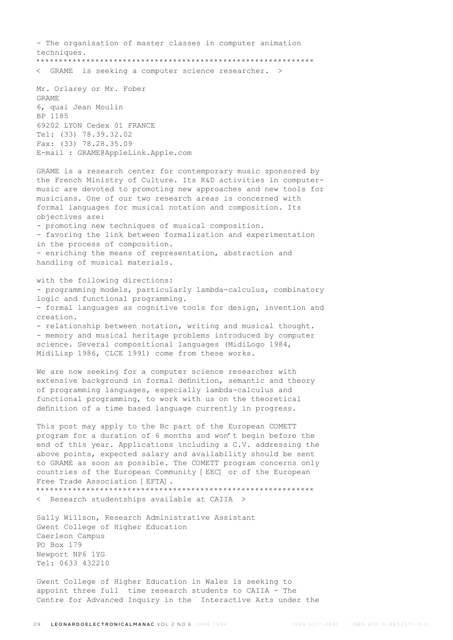- The organisation of master classes in computer animation techniques. \*\*\*\*\*\*\*\*\*\*\*\*\*\*\*\*\*\*\*\*\*\*\*\*\*\*\*\*\*\*\*\*\*\*\*\*\*\*\*\*\*\*\*\*\*\*\*\*\*\*\*\*\*\*\*\*\*\*\*\*\* < GRAME is seeking a computer science researcher. > Mr. Orlarey or Mr. Fober GRAME 6, quai Jean Moulin BP 1185 69202 LYON Cedex 01 FRANCE Tel: (33) 78.39.32.02 Fax: (33) 78.28.35.09 E-mail : GRAME@AppleLink.Apple.com GRAME is a research center for contemporary music sponsored by the French Ministry of Culture. Its R&D activities in computermusic are devoted to promoting new approaches and new tools for musicians. One of our two research areas is concerned with formal languages for musical notation and composition. Its objectives are: - promoting new techniques of musical composition. - favoring the link between formalization and experimentation in the process of composition. - enriching the means of representation, abstraction and handling of musical materials. with the following directions: - programming models, particularly lambda-calculus, combinatory logic and functional programming. - formal languages as cognitive tools for design, invention and creation. - relationship between notation, writing and musical thought. - memory and musical heritage problems introduced by computer science. Several compositional languages (MidiLogo 1984, MidiLisp 1986, CLCE 1991) come from these works. We are now seeking for a computer science researcher with extensive background in formal definition, semantic and theory of programming languages, especially lambda-calculus and functional programming, to work with us on the theoretical definition of a time based language currently in progress. This post may apply to the Bc part of the European COMETT program for a duration of 6 months and won't begin before the end of this year. Applications including a C.V. addressing the above points, expected salary and availability should be sent to GRAME as soon as possible. The COMETT program concerns only countries of the European Community [EEC] or of the European Free Trade Association [ EFTA]. \*\*\*\*\*\*\*\*\*\*\*\*\*\*\*\*\*\*\*\*\*\*\*\*\*\*\*\*\*\*\*\*\*\*\*\*\*\*\*\*\*\*\*\*\*\*\*\*\*\*\*\*\*\*\*\*\*\*\*\*\* < Research studentships available at CAIIA > Sally Willson, Research Administrative Assistant Gwent College of Higher Education Caerleon Campus PO Box 179 Newport NP6 1YG Tel: 0633 432210

Gwent College of Higher Education in Wales is seeking to appoint three full time research students to CAIIA - The Centre for Advanced Inquiry in the Interactive Arts under the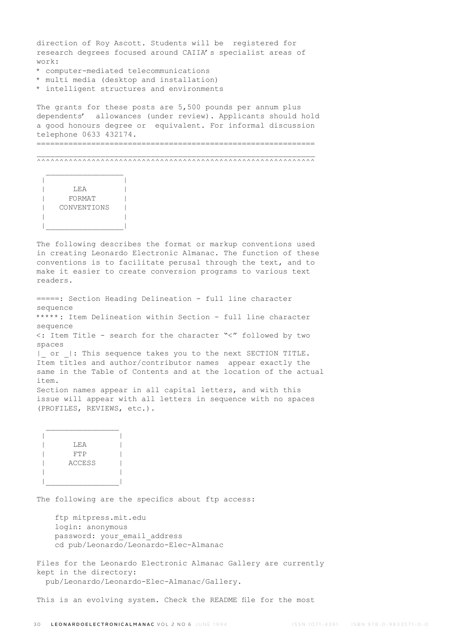direction of Roy Ascott. Students will be registered for research degrees focused around CAIIA's specialist areas of work:

- \* computer-mediated telecommunications
- \* multi media (desktop and installation)
- \* intelligent structures and environments

The grants for these posts are 5,500 pounds per annum plus dependents' allowances (under review). Applicants should hold a good honours degree or equivalent. For informal discussion telephone 0633 432174.

=============================================================

 $\_$  , and the set of the set of the set of the set of the set of the set of the set of the set of the set of the set of the set of the set of the set of the set of the set of the set of the set of the set of the set of th ^^^^^^^^^^^^^^^^^^^^^^^^^^^^^^^^^^^^^^^^^^^^^^^^^^^^^^^^^^^^^



The following describes the format or markup conventions used in creating Leonardo Electronic Almanac. The function of these conventions is to facilitate perusal through the text, and to make it easier to create conversion programs to various text readers.

=====: Section Heading Delineation - full line character sequence \*\*\*\*\*: Item Delineation within Section - full line character sequence <: Item Title - search for the character "<" followed by two spaces | or |: This sequence takes you to the next SECTION TITLE. Item titles and author/contributor names appear exactly the same in the Table of Contents and at the location of the actual item. Section names appear in all capital letters, and with this issue will appear with all letters in sequence with no spaces (PROFILES, REVIEWS, etc.).

 $\mathcal{L}_\text{max}$  | | | LEA | | FTP | | ACCESS | | | |\_\_\_\_\_\_\_\_\_\_\_\_\_\_\_\_|

The following are the specifics about ftp access:

 ftp mitpress.mit.edu login: anonymous password: your email address cd pub/Leonardo/Leonardo-Elec-Almanac

Files for the Leonardo Electronic Almanac Gallery are currently kept in the directory: pub/Leonardo/Leonardo-Elec-Almanac/Gallery.

This is an evolving system. Check the README file for the most